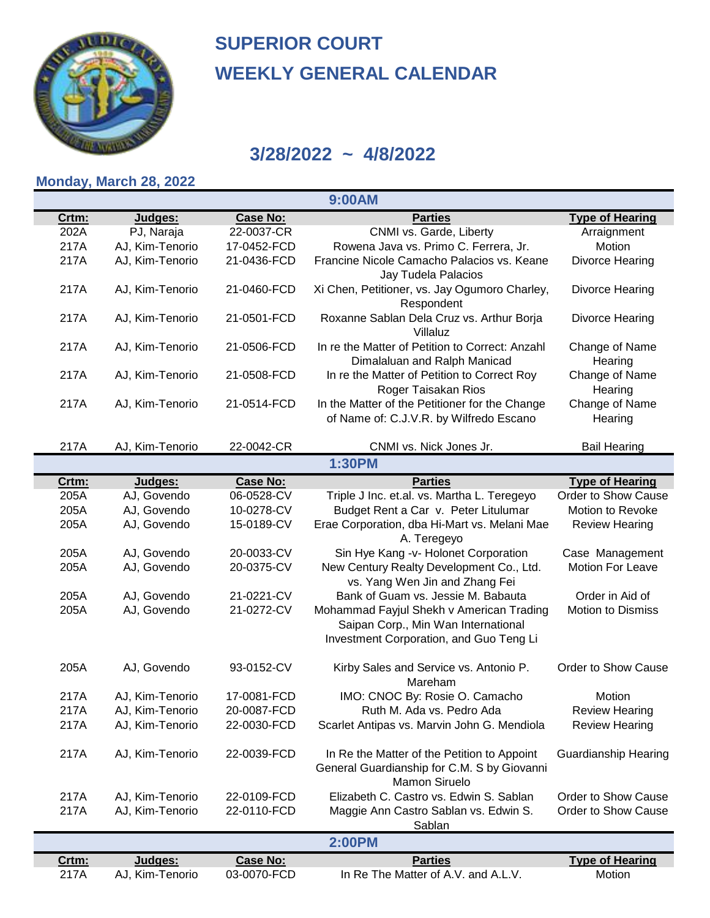

#### **3/28/2022 ~ 4/8/2022**

#### **Monday, March 28, 2022**

Crtm: **Judges:** Case No: **Parties** 202A PJ, Naraja 22-0037-CR CNMI vs. Garde, Liberty CNTA Arraignment 217A AJ, Kim-Tenorio 17-0452-FCD Rowena Java vs. Primo C. Ferrera, Jr. Notion 217A AJ, Kim-Tenorio 21-0436-FCD Francine Nicole Camacho Palacios vs. Keane Divorce Hearing Jay Tudela Palacios 217A AJ, Kim-Tenorio 21-0460-FCD Xi Chen, Petitioner, vs. Jay Ogumoro Charley, Divorce Hearing Respondent 217A AJ, Kim-Tenorio 21-0501-FCD Roxanne Sablan Dela Cruz vs. Arthur Borja Divorce Hearing Villaluz 217A AJ, Kim-Tenorio 21-0506-FCD In re the Matter of Petition to Correct: Anzahl Change of Name Dimalaluan and Ralph Manicad 217A AJ, Kim-Tenorio 21-0508-FCD In re the Matter of Petition to Correct Roy Change of Name Roger Taisakan Rios 217A AJ, Kim-Tenorio 21-0514-FCD In the Matter of the Petitioner for the Change Change of Name of Name of: C.J.V.R. by Wilfredo Escano 217A AJ, Kim-Tenorio 22-0042-CR CNMI vs. Nick Jones Jr. Bail Hearing Crtm: **Judges:** Case No: **Parties** 205A AJ, Govendo 06-0528-CV Triple J Inc. et.al. vs. Martha L. Teregeyo Order to Show Cause 205A AJ, Govendo 10-0278-CV Budget Rent a Car v. Peter Litulumar Motion to Revoke 205A AJ, Govendo 15-0189-CV Erae Corporation, dba Hi-Mart vs. Melani Mae Review Hearing A. Teregeyo 205A AJ, Govendo 20-0033-CV Sin Hye Kang -v- Holonet Corporation Case Management 205A AJ, Govendo 20-0375-CV New Century Realty Development Co., Ltd. Motion For Leave vs. Yang Wen Jin and Zhang Fei 205A AJ, Govendo 21-0221-CV Bank of Guam vs. Jessie M. Babauta Order in Aid of 205A Mohammad Fayjul Shekh v American Trading AJ, Govendo 21-0272-CV Motion to Dismiss Saipan Corp., Min Wan International Investment Corporation, and Guo Teng Li 205A AJ, Govendo 93-0152-CV Kirby Sales and Service vs. Antonio P. Crder to Show Cause Mareham 217A AJ, Kim-Tenorio 17-0081-FCD IMO: CNOC By: Rosie O. Camacho Motion 217A AJ, Kim-Tenorio 20-0087-FCD Ruth M. Ada vs. Pedro Ada Review Hearing 217A AJ, Kim-Tenorio 22-0030-FCD Scarlet Antipas vs. Marvin John G. Mendiola Review Hearing 217A AJ, Kim-Tenorio 22-0039-FCD In Re the Matter of the Petition to Appoint Guardianship Hearing General Guardianship for C.M. S by Giovanni Mamon Siruelo 217A AJ, Kim-Tenorio 22-0109-FCD Elizabeth C. Castro vs. Edwin S. Sablan Order to Show Cause 217A AJ, Kim-Tenorio 22-0110-FCD Maggie Ann Castro Sablan vs. Edwin S. Order to Show Cause Sablan Crtm: *Parties* Judges: **Case No:** Parties 217A AJ, Kim-Tenorio 03-0070-FCD In Re The Matter of A.V. and A.L.V. Motion **2:00PM Type of Hearing 1:30PM Type of Hearing Hearing Hearing Hearing 9:00AM Type of Hearing**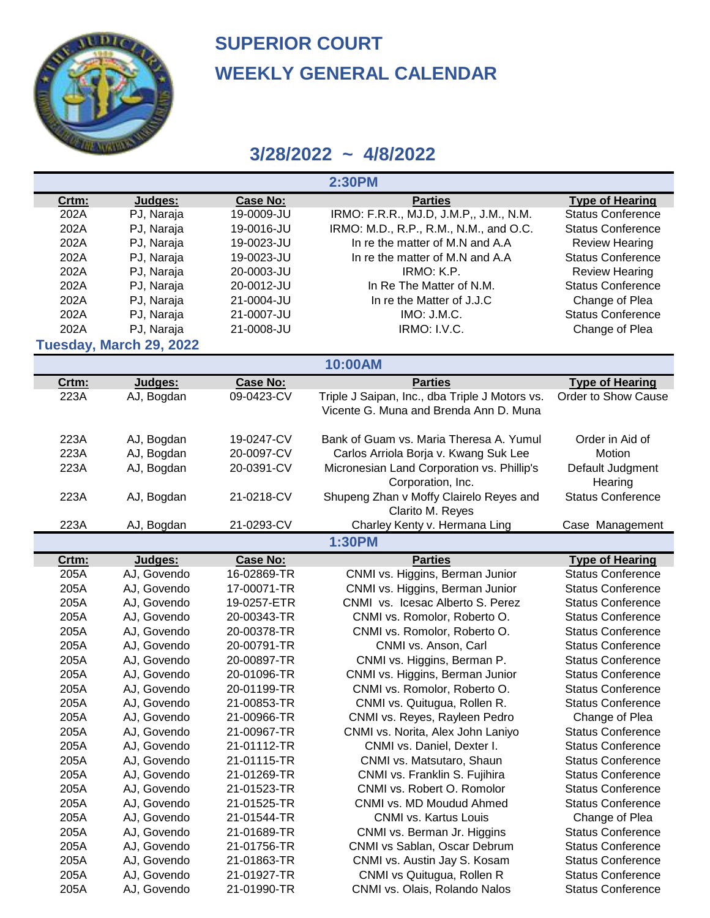

| <b>Case No:</b><br><b>Parties</b><br><b>Type of Hearing</b><br>Crtm:<br>Judges:                                                                        |  |
|--------------------------------------------------------------------------------------------------------------------------------------------------------|--|
| PJ, Naraja<br>IRMO: F.R.R., MJ.D, J.M.P., J.M., N.M.<br><b>Status Conference</b><br>202A<br>19-0009-JU                                                 |  |
| 202A<br>PJ, Naraja<br>19-0016-JU<br>IRMO: M.D., R.P., R.M., N.M., and O.C.<br><b>Status Conference</b>                                                 |  |
| 202A<br>PJ, Naraja<br>19-0023-JU<br>In re the matter of M.N and A.A<br><b>Review Hearing</b>                                                           |  |
| 202A<br>PJ, Naraja<br>19-0023-JU<br>In re the matter of M.N and A.A<br><b>Status Conference</b>                                                        |  |
| 202A<br>PJ, Naraja<br>IRMO: K.P.<br>20-0003-JU<br><b>Review Hearing</b>                                                                                |  |
| 202A<br>PJ, Naraja<br>In Re The Matter of N.M.<br>20-0012-JU<br><b>Status Conference</b>                                                               |  |
| 202A<br>PJ, Naraja<br>In re the Matter of J.J.C<br>Change of Plea<br>21-0004-JU                                                                        |  |
| 202A<br>PJ, Naraja<br>IMO: J.M.C.<br><b>Status Conference</b><br>21-0007-JU                                                                            |  |
| 202A<br>PJ, Naraja<br>IRMO: I.V.C.<br>21-0008-JU<br>Change of Plea                                                                                     |  |
| Tuesday, March 29, 2022                                                                                                                                |  |
| 10:00AM                                                                                                                                                |  |
| <b>Case No:</b><br><b>Parties</b><br><b>Type of Hearing</b><br>Crtm:<br>Judges:                                                                        |  |
| Order to Show Cause<br>223A<br>AJ, Bogdan<br>09-0423-CV<br>Triple J Saipan, Inc., dba Triple J Motors vs.                                              |  |
| Vicente G. Muna and Brenda Ann D. Muna                                                                                                                 |  |
| 223A<br>AJ, Bogdan<br>19-0247-CV<br>Bank of Guam vs. Maria Theresa A. Yumul<br>Order in Aid of                                                         |  |
| 223A<br>20-0097-CV<br>Carlos Arriola Borja v. Kwang Suk Lee<br>AJ, Bogdan<br>Motion                                                                    |  |
| 223A<br>20-0391-CV<br>AJ, Bogdan<br>Micronesian Land Corporation vs. Phillip's<br>Default Judgment                                                     |  |
| Corporation, Inc.<br>Hearing                                                                                                                           |  |
| 21-0218-CV<br>Shupeng Zhan v Moffy Clairelo Reyes and<br><b>Status Conference</b><br>223A<br>AJ, Bogdan                                                |  |
| Clarito M. Reyes                                                                                                                                       |  |
|                                                                                                                                                        |  |
|                                                                                                                                                        |  |
| 223A<br>21-0293-CV<br>AJ, Bogdan<br>Charley Kenty v. Hermana Ling<br>Case Management<br><b>1:30PM</b>                                                  |  |
|                                                                                                                                                        |  |
| <b>Parties</b><br><b>Case No:</b><br><b>Type of Hearing</b><br>Crtm:<br>Judges:                                                                        |  |
| 205A<br>CNMI vs. Higgins, Berman Junior<br><b>Status Conference</b><br>AJ, Govendo<br>16-02869-TR                                                      |  |
| 205A<br>CNMI vs. Higgins, Berman Junior<br>AJ, Govendo<br>17-00071-TR<br><b>Status Conference</b>                                                      |  |
| 205A<br>CNMI vs. Icesac Alberto S. Perez<br>AJ, Govendo<br>19-0257-ETR<br><b>Status Conference</b>                                                     |  |
| 205A<br>AJ, Govendo<br>20-00343-TR<br>CNMI vs. Romolor, Roberto O.<br><b>Status Conference</b><br><b>Status Conference</b>                             |  |
| 205A<br>AJ, Govendo<br>20-00378-TR<br>CNMI vs. Romolor, Roberto O.<br><b>Status Conference</b>                                                         |  |
| 205A<br>AJ, Govendo<br>20-00791-TR<br>CNMI vs. Anson, Carl<br>205A<br>AJ, Govendo<br>20-00897-TR<br><b>Status Conference</b>                           |  |
| CNMI vs. Higgins, Berman P.<br>205A<br>20-01096-TR<br><b>Status Conference</b>                                                                         |  |
| AJ, Govendo<br>CNMI vs. Higgins, Berman Junior<br>205A<br>20-01199-TR<br>CNMI vs. Romolor, Roberto O.<br><b>Status Conference</b>                      |  |
| AJ, Govendo<br>21-00853-TR<br>205A<br><b>Status Conference</b>                                                                                         |  |
| CNMI vs. Quitugua, Rollen R.<br>AJ, Govendo<br>205A<br>21-00966-TR<br>AJ, Govendo                                                                      |  |
| CNMI vs. Reyes, Rayleen Pedro<br>Change of Plea<br>205A<br><b>Status Conference</b><br>AJ, Govendo<br>21-00967-TR<br>CNMI vs. Norita, Alex John Laniyo |  |
| 205A<br><b>Status Conference</b><br>21-01112-TR                                                                                                        |  |
| AJ, Govendo<br>CNMI vs. Daniel, Dexter I.<br><b>Status Conference</b>                                                                                  |  |
| 205A<br>21-01115-TR<br>AJ, Govendo<br>CNMI vs. Matsutaro, Shaun<br>205A<br><b>Status Conference</b><br>21-01269-TR<br>CNMI vs. Franklin S. Fujihira    |  |
| AJ, Govendo<br>205A<br><b>Status Conference</b><br>AJ, Govendo<br>21-01523-TR<br>CNMI vs. Robert O. Romolor                                            |  |
| 205A<br>21-01525-TR<br>CNMI vs. MD Moudud Ahmed<br><b>Status Conference</b><br>AJ, Govendo                                                             |  |
| 205A<br>21-01544-TR<br><b>CNMI vs. Kartus Louis</b><br>Change of Plea<br>AJ, Govendo                                                                   |  |
| 205A<br>AJ, Govendo<br>21-01689-TR<br>CNMI vs. Berman Jr. Higgins<br><b>Status Conference</b>                                                          |  |
| 205A<br><b>Status Conference</b><br>AJ, Govendo<br>21-01756-TR<br>CNMI vs Sablan, Oscar Debrum                                                         |  |
| 205A<br><b>Status Conference</b><br>AJ, Govendo<br>21-01863-TR<br>CNMI vs. Austin Jay S. Kosam                                                         |  |
| 205A<br>CNMI vs Quitugua, Rollen R<br><b>Status Conference</b><br>AJ, Govendo<br>21-01927-TR                                                           |  |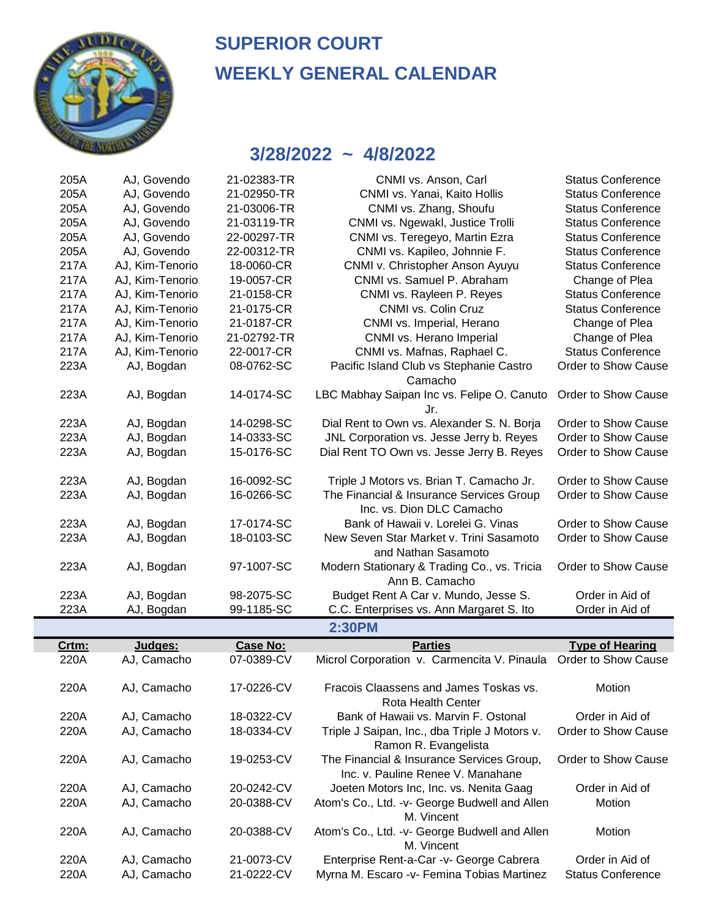

| 205A | AJ, Govendo     | 21-02383-TR | CNMI vs. Anson, Carl                                                  | <b>Status Conference</b> |
|------|-----------------|-------------|-----------------------------------------------------------------------|--------------------------|
| 205A | AJ, Govendo     | 21-02950-TR | CNMI vs. Yanai, Kaito Hollis                                          | <b>Status Conference</b> |
| 205A | AJ, Govendo     | 21-03006-TR | CNMI vs. Zhang, Shoufu                                                | <b>Status Conference</b> |
| 205A | AJ, Govendo     | 21-03119-TR | CNMI vs. Ngewakl, Justice Trolli                                      | <b>Status Conference</b> |
| 205A | AJ, Govendo     | 22-00297-TR | CNMI vs. Teregeyo, Martin Ezra                                        | <b>Status Conference</b> |
| 205A | AJ, Govendo     | 22-00312-TR | CNMI vs. Kapileo, Johnnie F.                                          | <b>Status Conference</b> |
| 217A | AJ, Kim-Tenorio | 18-0060-CR  | CNMI v. Christopher Anson Ayuyu                                       | <b>Status Conference</b> |
| 217A | AJ, Kim-Tenorio | 19-0057-CR  | CNMI vs. Samuel P. Abraham                                            | Change of Plea           |
| 217A | AJ, Kim-Tenorio | 21-0158-CR  | CNMI vs. Rayleen P. Reyes                                             | <b>Status Conference</b> |
| 217A | AJ, Kim-Tenorio | 21-0175-CR  | CNMI vs. Colin Cruz                                                   | <b>Status Conference</b> |
| 217A | AJ, Kim-Tenorio | 21-0187-CR  | CNMI vs. Imperial, Herano                                             | Change of Plea           |
| 217A | AJ, Kim-Tenorio | 21-02792-TR | CNMI vs. Herano Imperial                                              | Change of Plea           |
| 217A | AJ, Kim-Tenorio | 22-0017-CR  | CNMI vs. Mafnas, Raphael C.                                           | <b>Status Conference</b> |
| 223A | AJ, Bogdan      | 08-0762-SC  | Pacific Island Club vs Stephanie Castro<br>Camacho                    | Order to Show Cause      |
| 223A | AJ, Bogdan      | 14-0174-SC  | LBC Mabhay Saipan Inc vs. Felipe O. Canuto<br>Jr.                     | Order to Show Cause      |
| 223A | AJ, Bogdan      | 14-0298-SC  | Dial Rent to Own vs. Alexander S. N. Borja                            | Order to Show Cause      |
| 223A | AJ, Bogdan      | 14-0333-SC  | JNL Corporation vs. Jesse Jerry b. Reyes                              | Order to Show Cause      |
| 223A | AJ, Bogdan      | 15-0176-SC  | Dial Rent TO Own vs. Jesse Jerry B. Reyes                             | Order to Show Cause      |
| 223A | AJ, Bogdan      | 16-0092-SC  | Triple J Motors vs. Brian T. Camacho Jr.                              | Order to Show Cause      |
| 223A | AJ, Bogdan      | 16-0266-SC  | The Financial & Insurance Services Group<br>Inc. vs. Dion DLC Camacho | Order to Show Cause      |
| 223A | AJ, Bogdan      | 17-0174-SC  | Bank of Hawaii v. Lorelei G. Vinas                                    | Order to Show Cause      |
| 223A | AJ, Bogdan      | 18-0103-SC  | New Seven Star Market v. Trini Sasamoto<br>and Nathan Sasamoto        | Order to Show Cause      |
| 223A | AJ, Bogdan      | 97-1007-SC  | Modern Stationary & Trading Co., vs. Tricia<br>Ann B. Camacho         | Order to Show Cause      |
| 223A | AJ, Bogdan      | 98-2075-SC  | Budget Rent A Car v. Mundo, Jesse S.                                  | Order in Aid of          |
| 223A | AJ, Bogdan      | 99-1185-SC  | C.C. Enterprises vs. Ann Margaret S. Ito                              | Order in Aid of          |
|      |                 |             | <b>2:30PM</b>                                                         |                          |

| Crtm: | Judges:     | <b>Case No:</b> | <b>Parties</b>                                                                 | <b>Type of Hearing</b>   |
|-------|-------------|-----------------|--------------------------------------------------------------------------------|--------------------------|
| 220A  | AJ, Camacho | 07-0389-CV      | Microl Corporation v. Carmencita V. Pinaula Order to Show Cause                |                          |
| 220A  | AJ, Camacho | 17-0226-CV      | Fracois Claassens and James Toskas vs.<br>Rota Health Center                   | Motion                   |
| 220A  | AJ, Camacho | 18-0322-CV      | Bank of Hawaii vs. Marvin F. Ostonal                                           | Order in Aid of          |
| 220A  | AJ, Camacho | 18-0334-CV      | Triple J Saipan, Inc., dba Triple J Motors v.<br>Ramon R. Evangelista          | Order to Show Cause      |
| 220A  | AJ, Camacho | 19-0253-CV      | The Financial & Insurance Services Group,<br>Inc. v. Pauline Renee V. Manahane | Order to Show Cause      |
| 220A  | AJ, Camacho | 20-0242-CV      | Joeten Motors Inc, Inc. vs. Nenita Gaag                                        | Order in Aid of          |
| 220A  | AJ, Camacho | 20-0388-CV      | Atom's Co., Ltd. -v- George Budwell and Allen<br>M. Vincent                    | Motion                   |
| 220A  | AJ, Camacho | 20-0388-CV      | Atom's Co., Ltd. -v- George Budwell and Allen<br>M. Vincent                    | Motion                   |
| 220A  | AJ, Camacho | 21-0073-CV      | Enterprise Rent-a-Car -v- George Cabrera                                       | Order in Aid of          |
| 220A  | AJ, Camacho | 21-0222-CV      | Myrna M. Escaro -v- Femina Tobias Martinez                                     | <b>Status Conference</b> |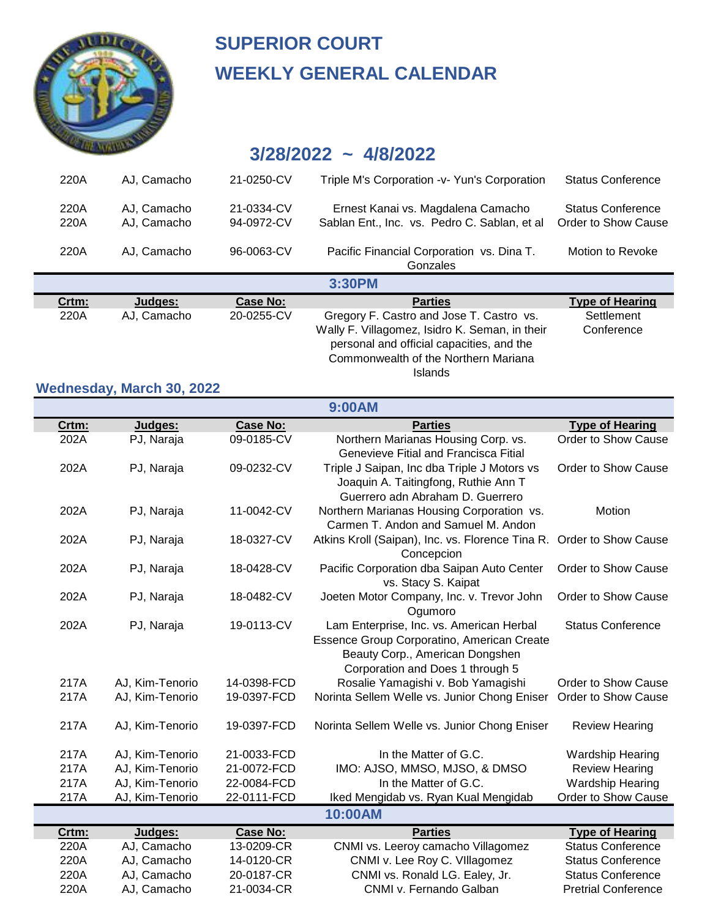

### **3/28/2022 ~ 4/8/2022**

| 220A         | AJ. Camacho                | 21-0250-CV               | Triple M's Corporation - v- Yun's Corporation                                       | <b>Status Conference</b>                 |
|--------------|----------------------------|--------------------------|-------------------------------------------------------------------------------------|------------------------------------------|
| 220A<br>220A | AJ. Camacho<br>AJ, Camacho | 21-0334-CV<br>94-0972-CV | Ernest Kanai vs. Magdalena Camacho<br>Sablan Ent., Inc. vs. Pedro C. Sablan, et al. | Status Conference<br>Order to Show Cause |
| 220A         | AJ. Camacho                | 96-0063-CV               | Pacific Financial Corporation vs. Dina T.<br>Gonzales                               | Motion to Revoke                         |
|              |                            |                          |                                                                                     |                                          |
|              |                            |                          | 3:30PM                                                                              |                                          |
| Crtm:        | Judges:                    | Case No:                 | <b>Parties</b>                                                                      | <b>Type of Hearing</b>                   |
| 220A         | AJ. Camacho                | 20-0255-CV               | Gregory F. Castro and Jose T. Castro vs.                                            | Settlement                               |

Islands

## **Wednesday, March 30, 2022**

|       |                 |                 | 9:00AM                                                                                                                                                        |                            |
|-------|-----------------|-----------------|---------------------------------------------------------------------------------------------------------------------------------------------------------------|----------------------------|
| Crtm: | Judges:         | <b>Case No:</b> | <b>Parties</b>                                                                                                                                                | <b>Type of Hearing</b>     |
| 202A  | PJ, Naraja      | 09-0185-CV      | Northern Marianas Housing Corp. vs.<br>Genevieve Fitial and Francisca Fitial                                                                                  | Order to Show Cause        |
| 202A  | PJ, Naraja      | 09-0232-CV      | Triple J Saipan, Inc dba Triple J Motors vs<br>Joaquin A. Taitingfong, Ruthie Ann T<br>Guerrero adn Abraham D. Guerrero                                       | Order to Show Cause        |
| 202A  | PJ, Naraja      | 11-0042-CV      | Northern Marianas Housing Corporation vs.<br>Carmen T. Andon and Samuel M. Andon                                                                              | Motion                     |
| 202A  | PJ, Naraja      | 18-0327-CV      | Atkins Kroll (Saipan), Inc. vs. Florence Tina R. Order to Show Cause<br>Concepcion                                                                            |                            |
| 202A  | PJ, Naraja      | 18-0428-CV      | Pacific Corporation dba Saipan Auto Center<br>vs. Stacy S. Kaipat                                                                                             | Order to Show Cause        |
| 202A  | PJ, Naraja      | 18-0482-CV      | Joeten Motor Company, Inc. v. Trevor John<br>Ogumoro                                                                                                          | Order to Show Cause        |
| 202A  | PJ, Naraja      | 19-0113-CV      | Lam Enterprise, Inc. vs. American Herbal<br>Essence Group Corporatino, American Create<br>Beauty Corp., American Dongshen<br>Corporation and Does 1 through 5 | <b>Status Conference</b>   |
| 217A  | AJ, Kim-Tenorio | 14-0398-FCD     | Rosalie Yamagishi v. Bob Yamagishi                                                                                                                            | Order to Show Cause        |
| 217A  | AJ, Kim-Tenorio | 19-0397-FCD     | Norinta Sellem Welle vs. Junior Chong Eniser                                                                                                                  | Order to Show Cause        |
| 217A  | AJ, Kim-Tenorio | 19-0397-FCD     | Norinta Sellem Welle vs. Junior Chong Eniser                                                                                                                  | <b>Review Hearing</b>      |
| 217A  | AJ, Kim-Tenorio | 21-0033-FCD     | In the Matter of G.C.                                                                                                                                         | <b>Wardship Hearing</b>    |
| 217A  | AJ, Kim-Tenorio | 21-0072-FCD     | IMO: AJSO, MMSO, MJSO, & DMSO                                                                                                                                 | <b>Review Hearing</b>      |
| 217A  | AJ, Kim-Tenorio | 22-0084-FCD     | In the Matter of G.C.                                                                                                                                         | <b>Wardship Hearing</b>    |
| 217A  | AJ, Kim-Tenorio | 22-0111-FCD     | Iked Mengidab vs. Ryan Kual Mengidab                                                                                                                          | Order to Show Cause        |
|       |                 |                 | 10:00AM                                                                                                                                                       |                            |
| Crtm: | Judges:         | <b>Case No:</b> | <b>Parties</b>                                                                                                                                                | <b>Type of Hearing</b>     |
| 220A  | AJ, Camacho     | 13-0209-CR      | CNMI vs. Leeroy camacho Villagomez                                                                                                                            | <b>Status Conference</b>   |
| 220A  | AJ, Camacho     | 14-0120-CR      | CNMI v. Lee Roy C. VIIIagomez                                                                                                                                 | <b>Status Conference</b>   |
| 220A  | AJ, Camacho     | 20-0187-CR      | CNMI vs. Ronald LG. Ealey, Jr.                                                                                                                                | <b>Status Conference</b>   |
| 220A  | AJ, Camacho     | 21-0034-CR      | CNMI v. Fernando Galban                                                                                                                                       | <b>Pretrial Conference</b> |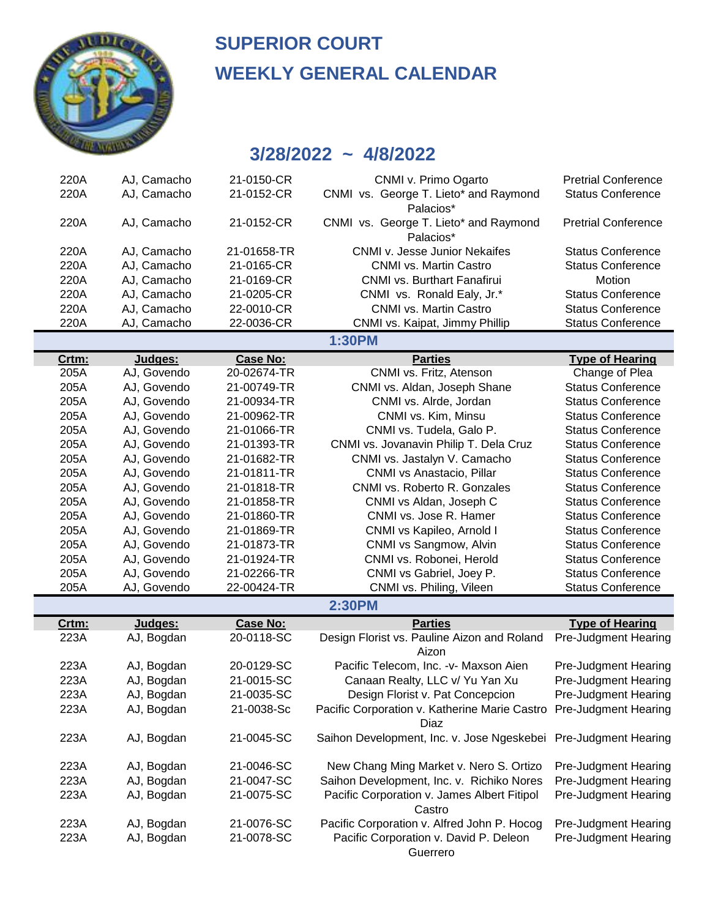

# **SUPERIOR COURT WEEKLY GENERAL CALENDAR**

| 220A  | AJ, Camacho | 21-0150-CR      | CNMI v. Primo Ogarto                                                       | <b>Pretrial Conference</b>  |
|-------|-------------|-----------------|----------------------------------------------------------------------------|-----------------------------|
| 220A  | AJ, Camacho | 21-0152-CR      | CNMI vs. George T. Lieto* and Raymond<br>Palacios*                         | <b>Status Conference</b>    |
| 220A  | AJ, Camacho | 21-0152-CR      | CNMI vs. George T. Lieto* and Raymond<br>Palacios*                         | <b>Pretrial Conference</b>  |
| 220A  | AJ, Camacho | 21-01658-TR     | CNMI v. Jesse Junior Nekaifes                                              | <b>Status Conference</b>    |
| 220A  | AJ, Camacho | 21-0165-CR      | CNMI vs. Martin Castro                                                     | <b>Status Conference</b>    |
| 220A  | AJ, Camacho | 21-0169-CR      | CNMI vs. Burthart Fanafirui                                                | Motion                      |
| 220A  | AJ, Camacho | 21-0205-CR      | CNMI vs. Ronald Ealy, Jr.*                                                 | <b>Status Conference</b>    |
| 220A  | AJ, Camacho | 22-0010-CR      | <b>CNMI vs. Martin Castro</b>                                              | <b>Status Conference</b>    |
| 220A  | AJ, Camacho | 22-0036-CR      | CNMI vs. Kaipat, Jimmy Phillip                                             | <b>Status Conference</b>    |
|       |             |                 | 1:30PM                                                                     |                             |
| Crtm: | Judges:     | <b>Case No:</b> | <b>Parties</b>                                                             | <b>Type of Hearing</b>      |
| 205A  | AJ, Govendo | 20-02674-TR     | CNMI vs. Fritz, Atenson                                                    | Change of Plea              |
| 205A  | AJ, Govendo | 21-00749-TR     | CNMI vs. Aldan, Joseph Shane                                               | <b>Status Conference</b>    |
| 205A  | AJ, Govendo | 21-00934-TR     | CNMI vs. Alrde, Jordan                                                     | <b>Status Conference</b>    |
| 205A  | AJ, Govendo | 21-00962-TR     | CNMI vs. Kim, Minsu                                                        | <b>Status Conference</b>    |
| 205A  | AJ, Govendo | 21-01066-TR     | CNMI vs. Tudela, Galo P.                                                   | <b>Status Conference</b>    |
| 205A  | AJ, Govendo | 21-01393-TR     | CNMI vs. Jovanavin Philip T. Dela Cruz                                     | <b>Status Conference</b>    |
| 205A  | AJ, Govendo | 21-01682-TR     | CNMI vs. Jastalyn V. Camacho                                               | <b>Status Conference</b>    |
| 205A  | AJ, Govendo | 21-01811-TR     | CNMI vs Anastacio, Pillar                                                  | <b>Status Conference</b>    |
| 205A  | AJ, Govendo | 21-01818-TR     | CNMI vs. Roberto R. Gonzales                                               | <b>Status Conference</b>    |
| 205A  | AJ, Govendo | 21-01858-TR     | CNMI vs Aldan, Joseph C                                                    | <b>Status Conference</b>    |
| 205A  | AJ, Govendo | 21-01860-TR     | CNMI vs. Jose R. Hamer                                                     | <b>Status Conference</b>    |
| 205A  | AJ, Govendo | 21-01869-TR     | CNMI vs Kapileo, Arnold I                                                  | <b>Status Conference</b>    |
| 205A  | AJ, Govendo | 21-01873-TR     | CNMI vs Sangmow, Alvin                                                     | <b>Status Conference</b>    |
| 205A  | AJ, Govendo | 21-01924-TR     | CNMI vs. Robonei, Herold                                                   | <b>Status Conference</b>    |
| 205A  | AJ, Govendo | 21-02266-TR     | CNMI vs Gabriel, Joey P.                                                   | <b>Status Conference</b>    |
| 205A  | AJ, Govendo | 22-00424-TR     | CNMI vs. Philing, Vileen                                                   | <b>Status Conference</b>    |
|       |             |                 | <b>2:30PM</b>                                                              |                             |
| Crtm: | Judges:     | <b>Case No:</b> | <b>Parties</b>                                                             | <b>Type of Hearing</b>      |
| 223A  | AJ, Bogdan  | 20-0118-SC      | Design Florist vs. Pauline Aizon and Roland<br>Aizon                       | Pre-Judgment Hearing        |
| 223A  | AJ, Bogdan  | 20-0129-SC      | Pacific Telecom, Inc. - v- Maxson Aien                                     | Pre-Judgment Hearing        |
| 223A  | AJ, Bogdan  | 21-0015-SC      | Canaan Realty, LLC v/ Yu Yan Xu                                            | Pre-Judgment Hearing        |
| 223A  | AJ, Bogdan  | 21-0035-SC      | Design Florist v. Pat Concepcion                                           | Pre-Judgment Hearing        |
| 223A  | AJ, Bogdan  | 21-0038-Sc      | Pacific Corporation v. Katherine Marie Castro Pre-Judgment Hearing<br>Diaz |                             |
| 223A  | AJ, Bogdan  | 21-0045-SC      | Saihon Development, Inc. v. Jose Ngeskebei Pre-Judgment Hearing            |                             |
| 223A  | AJ, Bogdan  | 21-0046-SC      | New Chang Ming Market v. Nero S. Ortizo                                    | <b>Pre-Judgment Hearing</b> |
| 223A  | AJ, Bogdan  | 21-0047-SC      | Saihon Development, Inc. v. Richiko Nores                                  | Pre-Judgment Hearing        |
| 223A  | AJ, Bogdan  | 21-0075-SC      | Pacific Corporation v. James Albert Fitipol<br>Castro                      | Pre-Judgment Hearing        |
| 223A  | AJ, Bogdan  | 21-0076-SC      | Pacific Corporation v. Alfred John P. Hocog                                | Pre-Judgment Hearing        |
| 223A  | AJ, Bogdan  | 21-0078-SC      | Pacific Corporation v. David P. Deleon<br>Guerrero                         | <b>Pre-Judgment Hearing</b> |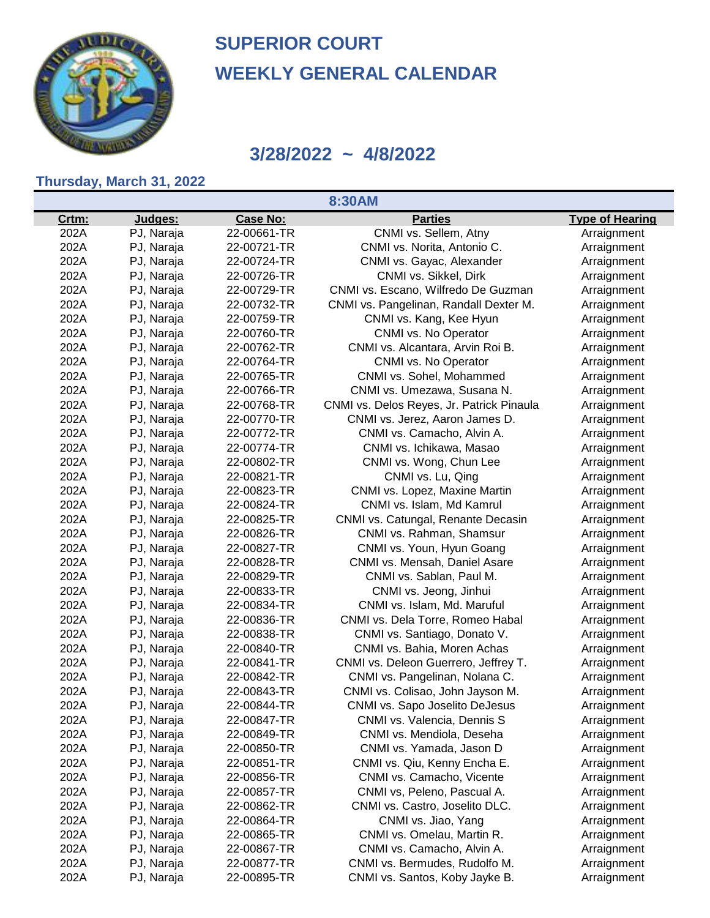

#### **3/28/2022 ~ 4/8/2022**

#### **Thursday, March 31, 2022**

**8:30AM**

| Crtm: | Judges:    | <b>Case No:</b> | <b>Parties</b>                            | <b>Type of Hearing</b> |
|-------|------------|-----------------|-------------------------------------------|------------------------|
| 202A  | PJ, Naraja | 22-00661-TR     | CNMI vs. Sellem, Atny                     | Arraignment            |
| 202A  | PJ, Naraja | 22-00721-TR     | CNMI vs. Norita, Antonio C.               | Arraignment            |
| 202A  | PJ, Naraja | 22-00724-TR     | CNMI vs. Gayac, Alexander                 | Arraignment            |
| 202A  | PJ, Naraja | 22-00726-TR     | CNMI vs. Sikkel, Dirk                     | Arraignment            |
| 202A  | PJ, Naraja | 22-00729-TR     | CNMI vs. Escano, Wilfredo De Guzman       | Arraignment            |
| 202A  | PJ, Naraja | 22-00732-TR     | CNMI vs. Pangelinan, Randall Dexter M.    | Arraignment            |
| 202A  | PJ, Naraja | 22-00759-TR     | CNMI vs. Kang, Kee Hyun                   | Arraignment            |
| 202A  | PJ, Naraja | 22-00760-TR     | CNMI vs. No Operator                      | Arraignment            |
| 202A  | PJ, Naraja | 22-00762-TR     | CNMI vs. Alcantara, Arvin Roi B.          | Arraignment            |
| 202A  | PJ, Naraja | 22-00764-TR     | CNMI vs. No Operator                      | Arraignment            |
| 202A  | PJ, Naraja | 22-00765-TR     | CNMI vs. Sohel, Mohammed                  | Arraignment            |
| 202A  | PJ, Naraja | 22-00766-TR     | CNMI vs. Umezawa, Susana N.               | Arraignment            |
| 202A  | PJ, Naraja | 22-00768-TR     | CNMI vs. Delos Reyes, Jr. Patrick Pinaula | Arraignment            |
| 202A  | PJ, Naraja | 22-00770-TR     | CNMI vs. Jerez, Aaron James D.            | Arraignment            |
| 202A  | PJ, Naraja | 22-00772-TR     | CNMI vs. Camacho, Alvin A.                | Arraignment            |
| 202A  | PJ, Naraja | 22-00774-TR     | CNMI vs. Ichikawa, Masao                  | Arraignment            |
| 202A  | PJ, Naraja | 22-00802-TR     | CNMI vs. Wong, Chun Lee                   | Arraignment            |
| 202A  | PJ, Naraja | 22-00821-TR     | CNMI vs. Lu, Qing                         | Arraignment            |
| 202A  | PJ, Naraja | 22-00823-TR     | CNMI vs. Lopez, Maxine Martin             | Arraignment            |
| 202A  | PJ, Naraja | 22-00824-TR     | CNMI vs. Islam, Md Kamrul                 | Arraignment            |
| 202A  | PJ, Naraja | 22-00825-TR     | CNMI vs. Catungal, Renante Decasin        | Arraignment            |
| 202A  | PJ, Naraja | 22-00826-TR     | CNMI vs. Rahman, Shamsur                  | Arraignment            |
| 202A  | PJ, Naraja | 22-00827-TR     | CNMI vs. Youn, Hyun Goang                 | Arraignment            |
| 202A  | PJ, Naraja | 22-00828-TR     | CNMI vs. Mensah, Daniel Asare             | Arraignment            |
| 202A  | PJ, Naraja | 22-00829-TR     | CNMI vs. Sablan, Paul M.                  | Arraignment            |
| 202A  | PJ, Naraja | 22-00833-TR     | CNMI vs. Jeong, Jinhui                    | Arraignment            |
| 202A  | PJ, Naraja | 22-00834-TR     | CNMI vs. Islam, Md. Maruful               | Arraignment            |
| 202A  | PJ, Naraja | 22-00836-TR     | CNMI vs. Dela Torre, Romeo Habal          | Arraignment            |
| 202A  | PJ, Naraja | 22-00838-TR     | CNMI vs. Santiago, Donato V.              | Arraignment            |
| 202A  | PJ, Naraja | 22-00840-TR     | CNMI vs. Bahia, Moren Achas               | Arraignment            |
| 202A  | PJ, Naraja | 22-00841-TR     | CNMI vs. Deleon Guerrero, Jeffrey T.      | Arraignment            |
| 202A  | PJ, Naraja | 22-00842-TR     | CNMI vs. Pangelinan, Nolana C.            | Arraignment            |
| 202A  | PJ, Naraja | 22-00843-TR     | CNMI vs. Colisao, John Jayson M.          | Arraignment            |
| 202A  | PJ, Naraja | 22-00844-TR     | CNMI vs. Sapo Joselito DeJesus            | Arraignment            |
| 202A  | PJ, Naraja | 22-00847-TR     | CNMI vs. Valencia, Dennis S               | Arraignment            |
| 202A  | PJ, Naraja | 22-00849-TR     | CNMI vs. Mendiola, Deseha                 | Arraignment            |
| 202A  | PJ, Naraja | 22-00850-TR     | CNMI vs. Yamada, Jason D                  | Arraignment            |
| 202A  | PJ, Naraja | 22-00851-TR     | CNMI vs. Qiu, Kenny Encha E.              | Arraignment            |
| 202A  | PJ, Naraja | 22-00856-TR     | CNMI vs. Camacho, Vicente                 | Arraignment            |
| 202A  | PJ, Naraja | 22-00857-TR     | CNMI vs, Peleno, Pascual A.               | Arraignment            |
| 202A  | PJ, Naraja | 22-00862-TR     | CNMI vs. Castro, Joselito DLC.            | Arraignment            |
| 202A  | PJ, Naraja | 22-00864-TR     | CNMI vs. Jiao, Yang                       | Arraignment            |
| 202A  | PJ, Naraja | 22-00865-TR     | CNMI vs. Omelau, Martin R.                | Arraignment            |
| 202A  | PJ, Naraja | 22-00867-TR     | CNMI vs. Camacho, Alvin A.                | Arraignment            |
| 202A  | PJ, Naraja | 22-00877-TR     | CNMI vs. Bermudes, Rudolfo M.             | Arraignment            |
| 202A  | PJ, Naraja | 22-00895-TR     | CNMI vs. Santos, Koby Jayke B.            | Arraignment            |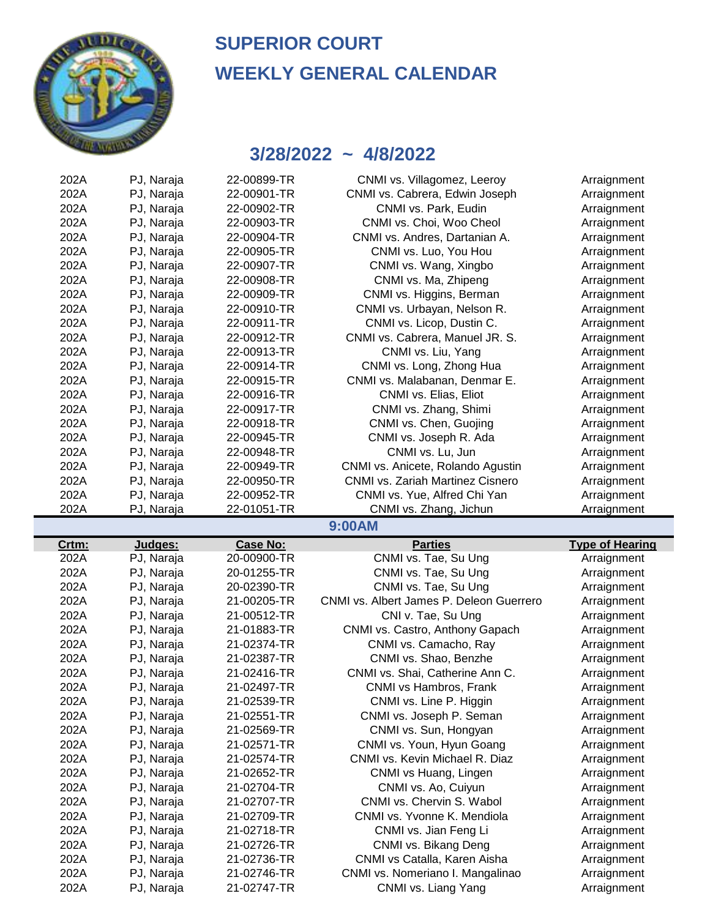

| 202A  | PJ, Naraja | 22-00899-TR     | CNMI vs. Villagomez, Leeroy              | Arraignment            |
|-------|------------|-----------------|------------------------------------------|------------------------|
| 202A  | PJ, Naraja | 22-00901-TR     | CNMI vs. Cabrera, Edwin Joseph           | Arraignment            |
| 202A  | PJ, Naraja | 22-00902-TR     | CNMI vs. Park, Eudin                     | Arraignment            |
| 202A  | PJ, Naraja | 22-00903-TR     | CNMI vs. Choi, Woo Cheol                 | Arraignment            |
| 202A  | PJ, Naraja | 22-00904-TR     | CNMI vs. Andres, Dartanian A.            | Arraignment            |
| 202A  | PJ, Naraja | 22-00905-TR     | CNMI vs. Luo, You Hou                    | Arraignment            |
| 202A  | PJ, Naraja | 22-00907-TR     | CNMI vs. Wang, Xingbo                    | Arraignment            |
| 202A  | PJ, Naraja | 22-00908-TR     | CNMI vs. Ma, Zhipeng                     | Arraignment            |
| 202A  | PJ, Naraja | 22-00909-TR     | CNMI vs. Higgins, Berman                 | Arraignment            |
| 202A  | PJ, Naraja | 22-00910-TR     | CNMI vs. Urbayan, Nelson R.              | Arraignment            |
| 202A  | PJ, Naraja | 22-00911-TR     | CNMI vs. Licop, Dustin C.                | Arraignment            |
| 202A  | PJ, Naraja | 22-00912-TR     | CNMI vs. Cabrera, Manuel JR. S.          | Arraignment            |
| 202A  | PJ, Naraja | 22-00913-TR     | CNMI vs. Liu, Yang                       | Arraignment            |
| 202A  | PJ, Naraja | 22-00914-TR     | CNMI vs. Long, Zhong Hua                 | Arraignment            |
| 202A  | PJ, Naraja | 22-00915-TR     | CNMI vs. Malabanan, Denmar E.            | Arraignment            |
| 202A  | PJ, Naraja | 22-00916-TR     | CNMI vs. Elias, Eliot                    | Arraignment            |
| 202A  | PJ, Naraja | 22-00917-TR     | CNMI vs. Zhang, Shimi                    | Arraignment            |
| 202A  | PJ, Naraja | 22-00918-TR     | CNMI vs. Chen, Guojing                   | Arraignment            |
| 202A  | PJ, Naraja | 22-00945-TR     | CNMI vs. Joseph R. Ada                   | Arraignment            |
| 202A  | PJ, Naraja | 22-00948-TR     | CNMI vs. Lu, Jun                         | Arraignment            |
| 202A  | PJ, Naraja | 22-00949-TR     | CNMI vs. Anicete, Rolando Agustin        | Arraignment            |
| 202A  | PJ, Naraja | 22-00950-TR     | <b>CNMI vs. Zariah Martinez Cisnero</b>  | Arraignment            |
| 202A  | PJ, Naraja | 22-00952-TR     | CNMI vs. Yue, Alfred Chi Yan             | Arraignment            |
| 202A  | PJ, Naraja | 22-01051-TR     | CNMI vs. Zhang, Jichun                   | Arraignment            |
|       |            |                 | 9:00AM                                   |                        |
|       |            |                 |                                          |                        |
| Crtm: | Judges:    | <b>Case No:</b> | <b>Parties</b>                           | <b>Type of Hearing</b> |
| 202A  | PJ, Naraja | 20-00900-TR     | CNMI vs. Tae, Su Ung                     | Arraignment            |
| 202A  | PJ, Naraja | 20-01255-TR     | CNMI vs. Tae, Su Ung                     | Arraignment            |
| 202A  | PJ, Naraja | 20-02390-TR     | CNMI vs. Tae, Su Ung                     | Arraignment            |
| 202A  | PJ, Naraja | 21-00205-TR     | CNMI vs. Albert James P. Deleon Guerrero | Arraignment            |
| 202A  | PJ, Naraja | 21-00512-TR     | CNI v. Tae, Su Ung                       | Arraignment            |
| 202A  | PJ, Naraja | 21-01883-TR     | CNMI vs. Castro, Anthony Gapach          | Arraignment            |
| 202A  | PJ, Naraja | 21-02374-TR     | CNMI vs. Camacho, Ray                    | Arraignment            |
| 202A  | PJ, Naraja | 21-02387-TR     | CNMI vs. Shao, Benzhe                    | Arraignment            |
| 202A  | PJ, Naraja | 21-02416-TR     | CNMI vs. Shai, Catherine Ann C.          | Arraignment            |
| 202A  | PJ, Naraja | 21-02497-TR     | CNMI vs Hambros, Frank                   | Arraignment            |
| 202A  | PJ, Naraja | 21-02539-TR     | CNMI vs. Line P. Higgin                  | Arraignment            |
| 202A  | PJ, Naraja | 21-02551-TR     | CNMI vs. Joseph P. Seman                 | Arraignment            |
| 202A  | PJ, Naraja | 21-02569-TR     | CNMI vs. Sun, Hongyan                    | Arraignment            |
| 202A  | PJ, Naraja | 21-02571-TR     | CNMI vs. Youn, Hyun Goang                | Arraignment            |
| 202A  | PJ, Naraja | 21-02574-TR     | CNMI vs. Kevin Michael R. Diaz           | Arraignment            |
| 202A  | PJ, Naraja | 21-02652-TR     | CNMI vs Huang, Lingen                    | Arraignment            |
| 202A  | PJ, Naraja | 21-02704-TR     | CNMI vs. Ao, Cuiyun                      | Arraignment            |
| 202A  | PJ, Naraja | 21-02707-TR     | CNMI vs. Chervin S. Wabol                | Arraignment            |
| 202A  | PJ, Naraja | 21-02709-TR     | CNMI vs. Yvonne K. Mendiola              | Arraignment            |
| 202A  | PJ, Naraja | 21-02718-TR     | CNMI vs. Jian Feng Li                    | Arraignment            |
| 202A  | PJ, Naraja | 21-02726-TR     | CNMI vs. Bikang Deng                     | Arraignment            |
| 202A  | PJ, Naraja | 21-02736-TR     | CNMI vs Catalla, Karen Aisha             | Arraignment            |
| 202A  | PJ, Naraja | 21-02746-TR     | CNMI vs. Nomeriano I. Mangalinao         | Arraignment            |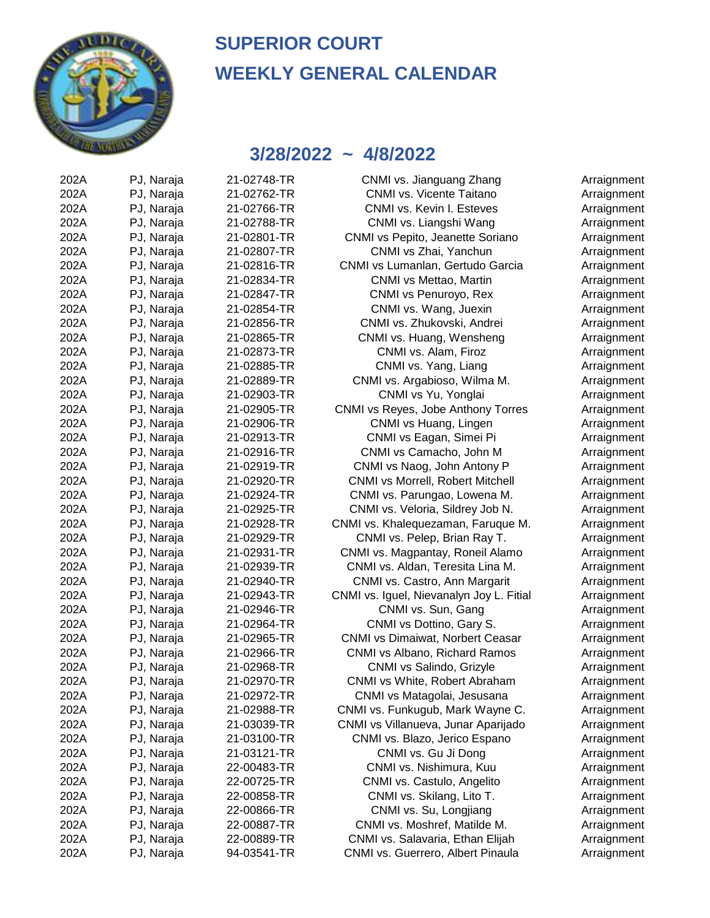

#### **3/28/2022 ~ 4/8/2022**

| 202A | PJ, Naraja | 21-02748-TR | CNMI vs. Jianguang Zhang                 | Arraignment |
|------|------------|-------------|------------------------------------------|-------------|
| 202A | PJ, Naraja | 21-02762-TR | CNMI vs. Vicente Taitano                 | Arraignment |
| 202A | PJ, Naraja | 21-02766-TR | CNMI vs. Kevin I. Esteves                | Arraignment |
| 202A | PJ, Naraja | 21-02788-TR | CNMI vs. Liangshi Wang                   | Arraignment |
| 202A | PJ, Naraja | 21-02801-TR | CNMI vs Pepito, Jeanette Soriano         | Arraignment |
| 202A | PJ, Naraja | 21-02807-TR | CNMI vs Zhai, Yanchun                    | Arraignment |
| 202A | PJ, Naraja | 21-02816-TR | CNMI vs Lumanlan, Gertudo Garcia         | Arraignment |
| 202A | PJ, Naraja | 21-02834-TR | CNMI vs Mettao, Martin                   | Arraignment |
| 202A | PJ, Naraja | 21-02847-TR | CNMI vs Penuroyo, Rex                    | Arraignment |
| 202A | PJ, Naraja | 21-02854-TR | CNMI vs. Wang, Juexin                    | Arraignment |
| 202A | PJ, Naraja | 21-02856-TR | CNMI vs. Zhukovski, Andrei               | Arraignment |
| 202A | PJ, Naraja | 21-02865-TR | CNMI vs. Huang, Wensheng                 | Arraignment |
| 202A | PJ, Naraja | 21-02873-TR | CNMI vs. Alam, Firoz                     | Arraignment |
| 202A | PJ, Naraja | 21-02885-TR | CNMI vs. Yang, Liang                     | Arraignment |
| 202A | PJ, Naraja | 21-02889-TR | CNMI vs. Argabioso, Wilma M.             | Arraignment |
| 202A | PJ, Naraja | 21-02903-TR | CNMI vs Yu, Yonglai                      | Arraignment |
| 202A | PJ, Naraja | 21-02905-TR | CNMI vs Reyes, Jobe Anthony Torres       | Arraignment |
| 202A | PJ, Naraja | 21-02906-TR | CNMI vs Huang, Lingen                    | Arraignment |
| 202A | PJ, Naraja | 21-02913-TR | CNMI vs Eagan, Simei Pi                  | Arraignment |
| 202A | PJ, Naraja | 21-02916-TR | CNMI vs Camacho, John M                  | Arraignment |
| 202A | PJ, Naraja | 21-02919-TR | CNMI vs Naog, John Antony P              | Arraignment |
| 202A | PJ, Naraja | 21-02920-TR | CNMI vs Morrell, Robert Mitchell         | Arraignment |
| 202A | PJ, Naraja | 21-02924-TR | CNMI vs. Parungao, Lowena M.             | Arraignment |
| 202A | PJ, Naraja | 21-02925-TR | CNMI vs. Veloria, Sildrey Job N.         | Arraignment |
| 202A | PJ, Naraja | 21-02928-TR | CNMI vs. Khalequezaman, Faruque M.       | Arraignment |
| 202A | PJ, Naraja | 21-02929-TR | CNMI vs. Pelep, Brian Ray T.             | Arraignment |
| 202A | PJ, Naraja | 21-02931-TR | CNMI vs. Magpantay, Roneil Alamo         | Arraignment |
| 202A | PJ, Naraja | 21-02939-TR | CNMI vs. Aldan, Teresita Lina M.         | Arraignment |
| 202A | PJ, Naraja | 21-02940-TR | CNMI vs. Castro, Ann Margarit            | Arraignment |
| 202A | PJ, Naraja | 21-02943-TR | CNMI vs. Iguel, Nievanalyn Joy L. Fitial | Arraignment |
| 202A | PJ, Naraja | 21-02946-TR | CNMI vs. Sun, Gang                       | Arraignment |
| 202A | PJ, Naraja | 21-02964-TR | CNMI vs Dottino, Gary S.                 | Arraignment |
| 202A | PJ, Naraja | 21-02965-TR | <b>CNMI vs Dimaiwat, Norbert Ceasar</b>  | Arraignment |
| 202A | PJ, Naraja | 21-02966-TR | CNMI vs Albano, Richard Ramos            | Arraignment |
| 202A | PJ, Naraja | 21-02968-TR | CNMI vs Salindo, Grizyle                 | Arraignment |
| 202A | PJ, Naraja | 21-02970-TR | CNMI vs White, Robert Abraham            | Arraignment |
| 202A | PJ, Naraja | 21-02972-TR | CNMI vs Matagolai, Jesusana              | Arraignment |
| 202A | PJ, Naraja | 21-02988-TR | CNMI vs. Funkugub, Mark Wayne C.         | Arraignment |
| 202A | PJ, Naraja | 21-03039-TR | CNMI vs Villanueva, Junar Aparijado      | Arraignment |
| 202A | PJ, Naraja | 21-03100-TR | CNMI vs. Blazo, Jerico Espano            | Arraignment |
| 202A | PJ, Naraja | 21-03121-TR | CNMI vs. Gu Ji Dong                      | Arraignment |
| 202A | PJ, Naraja | 22-00483-TR | CNMI vs. Nishimura, Kuu                  | Arraignment |
| 202A | PJ, Naraja | 22-00725-TR | CNMI vs. Castulo, Angelito               | Arraignment |
| 202A | PJ, Naraja | 22-00858-TR | CNMI vs. Skilang, Lito T.                | Arraignment |
| 202A | PJ, Naraja | 22-00866-TR | CNMI vs. Su, Longjiang                   | Arraignment |
| 202A | PJ, Naraja | 22-00887-TR | CNMI vs. Moshref, Matilde M.             | Arraignment |
| 202A | PJ, Naraja | 22-00889-TR | CNMI vs. Salavaria, Ethan Elijah         | Arraignment |
| 202A | PJ, Naraja | 94-03541-TR | CNMI vs. Guerrero, Albert Pinaula        | Arraignment |
|      |            |             |                                          |             |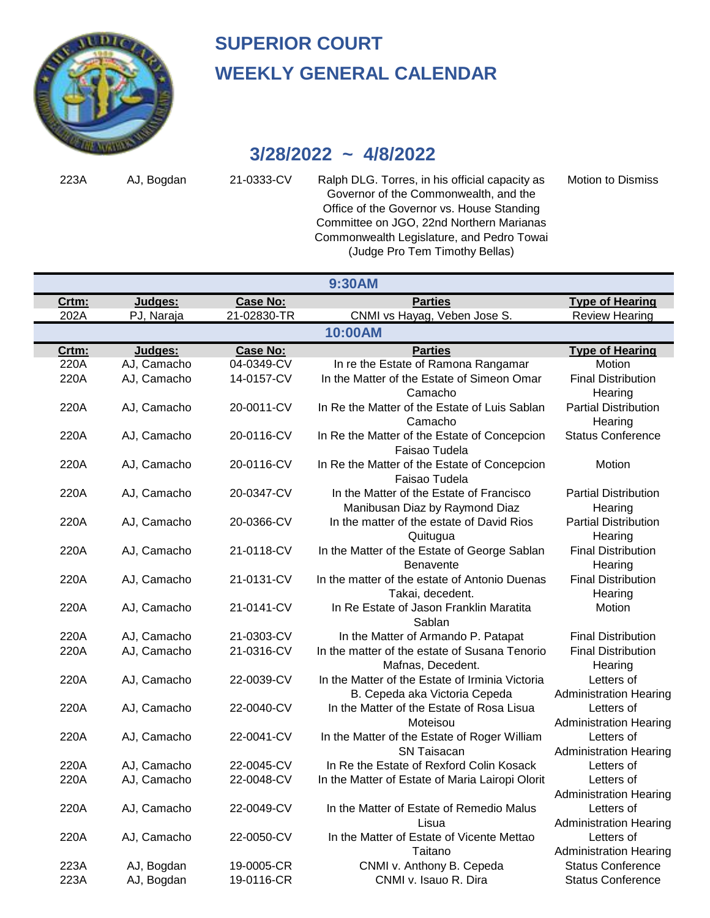

## **3/28/2022 ~ 4/8/2022**

223A AJ, Bogdan 21-0333-CV Ralph DLG. Torres, in his official capacity as Motion to Dismiss Governor of the Commonwealth, and the Office of the Governor vs. House Standing Committee on JGO, 22nd Northern Marianas Commonwealth Legislature, and Pedro Towai (Judge Pro Tem Timothy Bellas)

| <b>Parties</b><br><b>Case No:</b><br><b>Type of Hearing</b><br>Crtm:<br>Judges:<br><b>Review Hearing</b><br>202A<br>PJ, Naraja<br>21-02830-TR<br>CNMI vs Hayag, Veben Jose S.<br>10:00AM<br><b>Case No:</b><br><b>Parties</b><br><b>Type of Hearing</b><br>Crtm:<br>Judges:<br>04-0349-CV<br>220A<br>AJ, Camacho<br>In re the Estate of Ramona Rangamar<br>Motion<br>220A<br>14-0157-CV<br>In the Matter of the Estate of Simeon Omar<br><b>Final Distribution</b><br>AJ, Camacho<br>Camacho<br>Hearing<br>220A<br>20-0011-CV<br>In Re the Matter of the Estate of Luis Sablan<br>AJ, Camacho<br><b>Partial Distribution</b><br>Camacho<br>Hearing<br>In Re the Matter of the Estate of Concepcion<br>220A<br>AJ, Camacho<br>20-0116-CV<br><b>Status Conference</b><br>Faisao Tudela<br>In Re the Matter of the Estate of Concepcion<br>220A<br>AJ, Camacho<br>20-0116-CV<br>Motion<br>Faisao Tudela<br>20-0347-CV<br>In the Matter of the Estate of Francisco<br>220A<br>AJ, Camacho<br><b>Partial Distribution</b><br>Manibusan Diaz by Raymond Diaz<br>Hearing<br>20-0366-CV<br>In the matter of the estate of David Rios<br><b>Partial Distribution</b><br>220A<br>AJ, Camacho<br>Quitugua<br>Hearing<br>21-0118-CV<br>In the Matter of the Estate of George Sablan<br><b>Final Distribution</b><br>220A<br>AJ, Camacho<br>Benavente<br>Hearing<br>21-0131-CV<br>In the matter of the estate of Antonio Duenas<br><b>Final Distribution</b><br>220A<br>AJ, Camacho<br>Takai, decedent.<br>Hearing<br>In Re Estate of Jason Franklin Maratita<br>Motion<br>220A<br>AJ, Camacho<br>21-0141-CV<br>Sablan<br>21-0303-CV<br>In the Matter of Armando P. Patapat<br><b>Final Distribution</b><br>220A<br>AJ, Camacho<br>220A<br>AJ, Camacho<br>21-0316-CV<br><b>Final Distribution</b><br>In the matter of the estate of Susana Tenorio<br>Mafnas, Decedent.<br>Hearing<br>In the Matter of the Estate of Irminia Victoria<br>220A<br>22-0039-CV<br>Letters of<br>AJ, Camacho<br>B. Cepeda aka Victoria Cepeda<br><b>Administration Hearing</b><br>220A<br>22-0040-CV<br>In the Matter of the Estate of Rosa Lisua<br>Letters of<br>AJ, Camacho<br>Moteisou<br><b>Administration Hearing</b><br>220A<br>AJ, Camacho<br>22-0041-CV<br>In the Matter of the Estate of Roger William<br>Letters of<br><b>SN Taisacan</b><br><b>Administration Hearing</b><br>22-0045-CV<br>In Re the Estate of Rexford Colin Kosack<br>220A<br>AJ, Camacho<br>Letters of<br>220A<br>AJ, Camacho<br>22-0048-CV<br>In the Matter of Estate of Maria Lairopi Olorit<br>Letters of<br><b>Administration Hearing</b><br>220A<br>AJ, Camacho<br>22-0049-CV<br>In the Matter of Estate of Remedio Malus<br>Letters of<br><b>Administration Hearing</b><br>Lisua<br>220A<br>22-0050-CV<br>In the Matter of Estate of Vicente Mettao<br>Letters of<br>AJ, Camacho<br>Taitano<br><b>Administration Hearing</b><br><b>Status Conference</b><br>223A<br>19-0005-CR<br>CNMI v. Anthony B. Cepeda<br>AJ, Bogdan |      |            |            | 9:30AM                |                          |
|------------------------------------------------------------------------------------------------------------------------------------------------------------------------------------------------------------------------------------------------------------------------------------------------------------------------------------------------------------------------------------------------------------------------------------------------------------------------------------------------------------------------------------------------------------------------------------------------------------------------------------------------------------------------------------------------------------------------------------------------------------------------------------------------------------------------------------------------------------------------------------------------------------------------------------------------------------------------------------------------------------------------------------------------------------------------------------------------------------------------------------------------------------------------------------------------------------------------------------------------------------------------------------------------------------------------------------------------------------------------------------------------------------------------------------------------------------------------------------------------------------------------------------------------------------------------------------------------------------------------------------------------------------------------------------------------------------------------------------------------------------------------------------------------------------------------------------------------------------------------------------------------------------------------------------------------------------------------------------------------------------------------------------------------------------------------------------------------------------------------------------------------------------------------------------------------------------------------------------------------------------------------------------------------------------------------------------------------------------------------------------------------------------------------------------------------------------------------------------------------------------------------------------------------------------------------------------------------------------------------------------------------------------------------------------------------------------------------------------------------------------------------------------------------------------------------------------------------------------------------------------------------------------------------------------------------------------------------------|------|------------|------------|-----------------------|--------------------------|
|                                                                                                                                                                                                                                                                                                                                                                                                                                                                                                                                                                                                                                                                                                                                                                                                                                                                                                                                                                                                                                                                                                                                                                                                                                                                                                                                                                                                                                                                                                                                                                                                                                                                                                                                                                                                                                                                                                                                                                                                                                                                                                                                                                                                                                                                                                                                                                                                                                                                                                                                                                                                                                                                                                                                                                                                                                                                                                                                                                              |      |            |            |                       |                          |
|                                                                                                                                                                                                                                                                                                                                                                                                                                                                                                                                                                                                                                                                                                                                                                                                                                                                                                                                                                                                                                                                                                                                                                                                                                                                                                                                                                                                                                                                                                                                                                                                                                                                                                                                                                                                                                                                                                                                                                                                                                                                                                                                                                                                                                                                                                                                                                                                                                                                                                                                                                                                                                                                                                                                                                                                                                                                                                                                                                              |      |            |            |                       |                          |
|                                                                                                                                                                                                                                                                                                                                                                                                                                                                                                                                                                                                                                                                                                                                                                                                                                                                                                                                                                                                                                                                                                                                                                                                                                                                                                                                                                                                                                                                                                                                                                                                                                                                                                                                                                                                                                                                                                                                                                                                                                                                                                                                                                                                                                                                                                                                                                                                                                                                                                                                                                                                                                                                                                                                                                                                                                                                                                                                                                              |      |            |            |                       |                          |
|                                                                                                                                                                                                                                                                                                                                                                                                                                                                                                                                                                                                                                                                                                                                                                                                                                                                                                                                                                                                                                                                                                                                                                                                                                                                                                                                                                                                                                                                                                                                                                                                                                                                                                                                                                                                                                                                                                                                                                                                                                                                                                                                                                                                                                                                                                                                                                                                                                                                                                                                                                                                                                                                                                                                                                                                                                                                                                                                                                              |      |            |            |                       |                          |
|                                                                                                                                                                                                                                                                                                                                                                                                                                                                                                                                                                                                                                                                                                                                                                                                                                                                                                                                                                                                                                                                                                                                                                                                                                                                                                                                                                                                                                                                                                                                                                                                                                                                                                                                                                                                                                                                                                                                                                                                                                                                                                                                                                                                                                                                                                                                                                                                                                                                                                                                                                                                                                                                                                                                                                                                                                                                                                                                                                              |      |            |            |                       |                          |
|                                                                                                                                                                                                                                                                                                                                                                                                                                                                                                                                                                                                                                                                                                                                                                                                                                                                                                                                                                                                                                                                                                                                                                                                                                                                                                                                                                                                                                                                                                                                                                                                                                                                                                                                                                                                                                                                                                                                                                                                                                                                                                                                                                                                                                                                                                                                                                                                                                                                                                                                                                                                                                                                                                                                                                                                                                                                                                                                                                              |      |            |            |                       |                          |
|                                                                                                                                                                                                                                                                                                                                                                                                                                                                                                                                                                                                                                                                                                                                                                                                                                                                                                                                                                                                                                                                                                                                                                                                                                                                                                                                                                                                                                                                                                                                                                                                                                                                                                                                                                                                                                                                                                                                                                                                                                                                                                                                                                                                                                                                                                                                                                                                                                                                                                                                                                                                                                                                                                                                                                                                                                                                                                                                                                              |      |            |            |                       |                          |
|                                                                                                                                                                                                                                                                                                                                                                                                                                                                                                                                                                                                                                                                                                                                                                                                                                                                                                                                                                                                                                                                                                                                                                                                                                                                                                                                                                                                                                                                                                                                                                                                                                                                                                                                                                                                                                                                                                                                                                                                                                                                                                                                                                                                                                                                                                                                                                                                                                                                                                                                                                                                                                                                                                                                                                                                                                                                                                                                                                              |      |            |            |                       |                          |
|                                                                                                                                                                                                                                                                                                                                                                                                                                                                                                                                                                                                                                                                                                                                                                                                                                                                                                                                                                                                                                                                                                                                                                                                                                                                                                                                                                                                                                                                                                                                                                                                                                                                                                                                                                                                                                                                                                                                                                                                                                                                                                                                                                                                                                                                                                                                                                                                                                                                                                                                                                                                                                                                                                                                                                                                                                                                                                                                                                              |      |            |            |                       |                          |
|                                                                                                                                                                                                                                                                                                                                                                                                                                                                                                                                                                                                                                                                                                                                                                                                                                                                                                                                                                                                                                                                                                                                                                                                                                                                                                                                                                                                                                                                                                                                                                                                                                                                                                                                                                                                                                                                                                                                                                                                                                                                                                                                                                                                                                                                                                                                                                                                                                                                                                                                                                                                                                                                                                                                                                                                                                                                                                                                                                              |      |            |            |                       |                          |
|                                                                                                                                                                                                                                                                                                                                                                                                                                                                                                                                                                                                                                                                                                                                                                                                                                                                                                                                                                                                                                                                                                                                                                                                                                                                                                                                                                                                                                                                                                                                                                                                                                                                                                                                                                                                                                                                                                                                                                                                                                                                                                                                                                                                                                                                                                                                                                                                                                                                                                                                                                                                                                                                                                                                                                                                                                                                                                                                                                              |      |            |            |                       |                          |
|                                                                                                                                                                                                                                                                                                                                                                                                                                                                                                                                                                                                                                                                                                                                                                                                                                                                                                                                                                                                                                                                                                                                                                                                                                                                                                                                                                                                                                                                                                                                                                                                                                                                                                                                                                                                                                                                                                                                                                                                                                                                                                                                                                                                                                                                                                                                                                                                                                                                                                                                                                                                                                                                                                                                                                                                                                                                                                                                                                              |      |            |            |                       |                          |
|                                                                                                                                                                                                                                                                                                                                                                                                                                                                                                                                                                                                                                                                                                                                                                                                                                                                                                                                                                                                                                                                                                                                                                                                                                                                                                                                                                                                                                                                                                                                                                                                                                                                                                                                                                                                                                                                                                                                                                                                                                                                                                                                                                                                                                                                                                                                                                                                                                                                                                                                                                                                                                                                                                                                                                                                                                                                                                                                                                              |      |            |            |                       |                          |
|                                                                                                                                                                                                                                                                                                                                                                                                                                                                                                                                                                                                                                                                                                                                                                                                                                                                                                                                                                                                                                                                                                                                                                                                                                                                                                                                                                                                                                                                                                                                                                                                                                                                                                                                                                                                                                                                                                                                                                                                                                                                                                                                                                                                                                                                                                                                                                                                                                                                                                                                                                                                                                                                                                                                                                                                                                                                                                                                                                              |      |            |            |                       |                          |
|                                                                                                                                                                                                                                                                                                                                                                                                                                                                                                                                                                                                                                                                                                                                                                                                                                                                                                                                                                                                                                                                                                                                                                                                                                                                                                                                                                                                                                                                                                                                                                                                                                                                                                                                                                                                                                                                                                                                                                                                                                                                                                                                                                                                                                                                                                                                                                                                                                                                                                                                                                                                                                                                                                                                                                                                                                                                                                                                                                              |      |            |            |                       |                          |
|                                                                                                                                                                                                                                                                                                                                                                                                                                                                                                                                                                                                                                                                                                                                                                                                                                                                                                                                                                                                                                                                                                                                                                                                                                                                                                                                                                                                                                                                                                                                                                                                                                                                                                                                                                                                                                                                                                                                                                                                                                                                                                                                                                                                                                                                                                                                                                                                                                                                                                                                                                                                                                                                                                                                                                                                                                                                                                                                                                              |      |            |            |                       |                          |
|                                                                                                                                                                                                                                                                                                                                                                                                                                                                                                                                                                                                                                                                                                                                                                                                                                                                                                                                                                                                                                                                                                                                                                                                                                                                                                                                                                                                                                                                                                                                                                                                                                                                                                                                                                                                                                                                                                                                                                                                                                                                                                                                                                                                                                                                                                                                                                                                                                                                                                                                                                                                                                                                                                                                                                                                                                                                                                                                                                              |      |            |            |                       |                          |
|                                                                                                                                                                                                                                                                                                                                                                                                                                                                                                                                                                                                                                                                                                                                                                                                                                                                                                                                                                                                                                                                                                                                                                                                                                                                                                                                                                                                                                                                                                                                                                                                                                                                                                                                                                                                                                                                                                                                                                                                                                                                                                                                                                                                                                                                                                                                                                                                                                                                                                                                                                                                                                                                                                                                                                                                                                                                                                                                                                              |      |            |            |                       |                          |
|                                                                                                                                                                                                                                                                                                                                                                                                                                                                                                                                                                                                                                                                                                                                                                                                                                                                                                                                                                                                                                                                                                                                                                                                                                                                                                                                                                                                                                                                                                                                                                                                                                                                                                                                                                                                                                                                                                                                                                                                                                                                                                                                                                                                                                                                                                                                                                                                                                                                                                                                                                                                                                                                                                                                                                                                                                                                                                                                                                              |      |            |            |                       |                          |
|                                                                                                                                                                                                                                                                                                                                                                                                                                                                                                                                                                                                                                                                                                                                                                                                                                                                                                                                                                                                                                                                                                                                                                                                                                                                                                                                                                                                                                                                                                                                                                                                                                                                                                                                                                                                                                                                                                                                                                                                                                                                                                                                                                                                                                                                                                                                                                                                                                                                                                                                                                                                                                                                                                                                                                                                                                                                                                                                                                              |      |            |            |                       |                          |
|                                                                                                                                                                                                                                                                                                                                                                                                                                                                                                                                                                                                                                                                                                                                                                                                                                                                                                                                                                                                                                                                                                                                                                                                                                                                                                                                                                                                                                                                                                                                                                                                                                                                                                                                                                                                                                                                                                                                                                                                                                                                                                                                                                                                                                                                                                                                                                                                                                                                                                                                                                                                                                                                                                                                                                                                                                                                                                                                                                              |      |            |            |                       |                          |
|                                                                                                                                                                                                                                                                                                                                                                                                                                                                                                                                                                                                                                                                                                                                                                                                                                                                                                                                                                                                                                                                                                                                                                                                                                                                                                                                                                                                                                                                                                                                                                                                                                                                                                                                                                                                                                                                                                                                                                                                                                                                                                                                                                                                                                                                                                                                                                                                                                                                                                                                                                                                                                                                                                                                                                                                                                                                                                                                                                              |      |            |            |                       |                          |
|                                                                                                                                                                                                                                                                                                                                                                                                                                                                                                                                                                                                                                                                                                                                                                                                                                                                                                                                                                                                                                                                                                                                                                                                                                                                                                                                                                                                                                                                                                                                                                                                                                                                                                                                                                                                                                                                                                                                                                                                                                                                                                                                                                                                                                                                                                                                                                                                                                                                                                                                                                                                                                                                                                                                                                                                                                                                                                                                                                              |      |            |            |                       |                          |
|                                                                                                                                                                                                                                                                                                                                                                                                                                                                                                                                                                                                                                                                                                                                                                                                                                                                                                                                                                                                                                                                                                                                                                                                                                                                                                                                                                                                                                                                                                                                                                                                                                                                                                                                                                                                                                                                                                                                                                                                                                                                                                                                                                                                                                                                                                                                                                                                                                                                                                                                                                                                                                                                                                                                                                                                                                                                                                                                                                              |      |            |            |                       |                          |
|                                                                                                                                                                                                                                                                                                                                                                                                                                                                                                                                                                                                                                                                                                                                                                                                                                                                                                                                                                                                                                                                                                                                                                                                                                                                                                                                                                                                                                                                                                                                                                                                                                                                                                                                                                                                                                                                                                                                                                                                                                                                                                                                                                                                                                                                                                                                                                                                                                                                                                                                                                                                                                                                                                                                                                                                                                                                                                                                                                              |      |            |            |                       |                          |
|                                                                                                                                                                                                                                                                                                                                                                                                                                                                                                                                                                                                                                                                                                                                                                                                                                                                                                                                                                                                                                                                                                                                                                                                                                                                                                                                                                                                                                                                                                                                                                                                                                                                                                                                                                                                                                                                                                                                                                                                                                                                                                                                                                                                                                                                                                                                                                                                                                                                                                                                                                                                                                                                                                                                                                                                                                                                                                                                                                              |      |            |            |                       |                          |
|                                                                                                                                                                                                                                                                                                                                                                                                                                                                                                                                                                                                                                                                                                                                                                                                                                                                                                                                                                                                                                                                                                                                                                                                                                                                                                                                                                                                                                                                                                                                                                                                                                                                                                                                                                                                                                                                                                                                                                                                                                                                                                                                                                                                                                                                                                                                                                                                                                                                                                                                                                                                                                                                                                                                                                                                                                                                                                                                                                              |      |            |            |                       |                          |
|                                                                                                                                                                                                                                                                                                                                                                                                                                                                                                                                                                                                                                                                                                                                                                                                                                                                                                                                                                                                                                                                                                                                                                                                                                                                                                                                                                                                                                                                                                                                                                                                                                                                                                                                                                                                                                                                                                                                                                                                                                                                                                                                                                                                                                                                                                                                                                                                                                                                                                                                                                                                                                                                                                                                                                                                                                                                                                                                                                              |      |            |            |                       |                          |
|                                                                                                                                                                                                                                                                                                                                                                                                                                                                                                                                                                                                                                                                                                                                                                                                                                                                                                                                                                                                                                                                                                                                                                                                                                                                                                                                                                                                                                                                                                                                                                                                                                                                                                                                                                                                                                                                                                                                                                                                                                                                                                                                                                                                                                                                                                                                                                                                                                                                                                                                                                                                                                                                                                                                                                                                                                                                                                                                                                              |      |            |            |                       |                          |
|                                                                                                                                                                                                                                                                                                                                                                                                                                                                                                                                                                                                                                                                                                                                                                                                                                                                                                                                                                                                                                                                                                                                                                                                                                                                                                                                                                                                                                                                                                                                                                                                                                                                                                                                                                                                                                                                                                                                                                                                                                                                                                                                                                                                                                                                                                                                                                                                                                                                                                                                                                                                                                                                                                                                                                                                                                                                                                                                                                              |      |            |            |                       |                          |
|                                                                                                                                                                                                                                                                                                                                                                                                                                                                                                                                                                                                                                                                                                                                                                                                                                                                                                                                                                                                                                                                                                                                                                                                                                                                                                                                                                                                                                                                                                                                                                                                                                                                                                                                                                                                                                                                                                                                                                                                                                                                                                                                                                                                                                                                                                                                                                                                                                                                                                                                                                                                                                                                                                                                                                                                                                                                                                                                                                              |      |            |            |                       |                          |
|                                                                                                                                                                                                                                                                                                                                                                                                                                                                                                                                                                                                                                                                                                                                                                                                                                                                                                                                                                                                                                                                                                                                                                                                                                                                                                                                                                                                                                                                                                                                                                                                                                                                                                                                                                                                                                                                                                                                                                                                                                                                                                                                                                                                                                                                                                                                                                                                                                                                                                                                                                                                                                                                                                                                                                                                                                                                                                                                                                              |      |            |            |                       |                          |
|                                                                                                                                                                                                                                                                                                                                                                                                                                                                                                                                                                                                                                                                                                                                                                                                                                                                                                                                                                                                                                                                                                                                                                                                                                                                                                                                                                                                                                                                                                                                                                                                                                                                                                                                                                                                                                                                                                                                                                                                                                                                                                                                                                                                                                                                                                                                                                                                                                                                                                                                                                                                                                                                                                                                                                                                                                                                                                                                                                              |      |            |            |                       |                          |
|                                                                                                                                                                                                                                                                                                                                                                                                                                                                                                                                                                                                                                                                                                                                                                                                                                                                                                                                                                                                                                                                                                                                                                                                                                                                                                                                                                                                                                                                                                                                                                                                                                                                                                                                                                                                                                                                                                                                                                                                                                                                                                                                                                                                                                                                                                                                                                                                                                                                                                                                                                                                                                                                                                                                                                                                                                                                                                                                                                              |      |            |            |                       |                          |
|                                                                                                                                                                                                                                                                                                                                                                                                                                                                                                                                                                                                                                                                                                                                                                                                                                                                                                                                                                                                                                                                                                                                                                                                                                                                                                                                                                                                                                                                                                                                                                                                                                                                                                                                                                                                                                                                                                                                                                                                                                                                                                                                                                                                                                                                                                                                                                                                                                                                                                                                                                                                                                                                                                                                                                                                                                                                                                                                                                              |      |            |            |                       |                          |
|                                                                                                                                                                                                                                                                                                                                                                                                                                                                                                                                                                                                                                                                                                                                                                                                                                                                                                                                                                                                                                                                                                                                                                                                                                                                                                                                                                                                                                                                                                                                                                                                                                                                                                                                                                                                                                                                                                                                                                                                                                                                                                                                                                                                                                                                                                                                                                                                                                                                                                                                                                                                                                                                                                                                                                                                                                                                                                                                                                              | 223A | AJ, Bogdan | 19-0116-CR | CNMI v. Isauo R. Dira | <b>Status Conference</b> |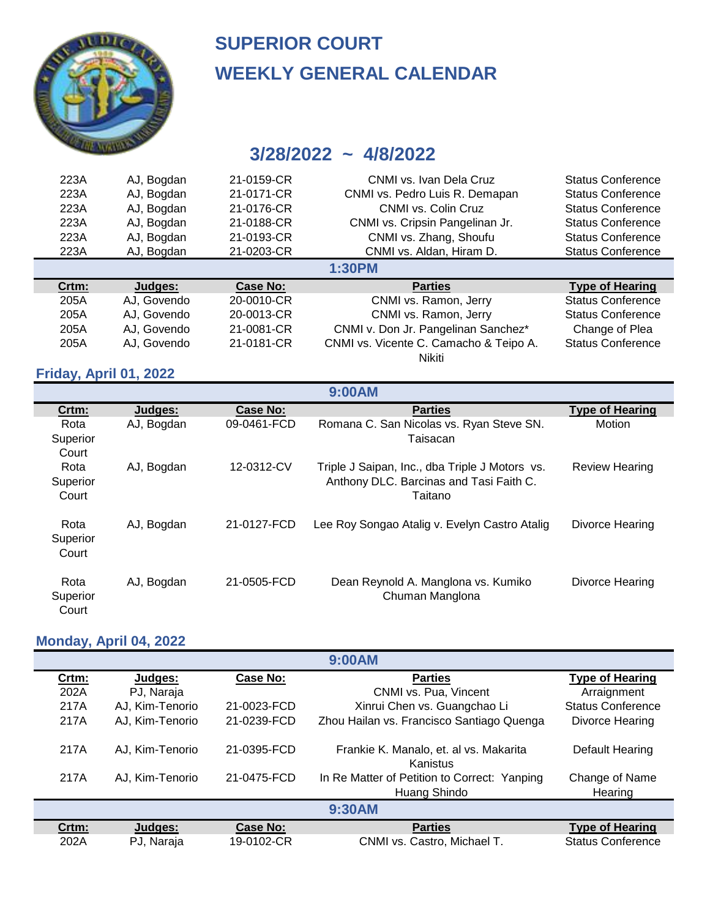

#### **3/28/2022 ~ 4/8/2022**

| 223A  | AJ, Bogdan  | 21-0159-CR | CNMI vs. Ivan Dela Cruz                | <b>Status Conference</b> |
|-------|-------------|------------|----------------------------------------|--------------------------|
| 223A  | AJ, Bogdan  | 21-0171-CR | CNMI vs. Pedro Luis R. Demapan         | <b>Status Conference</b> |
| 223A  | AJ, Bogdan  | 21-0176-CR | CNMI vs. Colin Cruz                    | <b>Status Conference</b> |
| 223A  | AJ, Bogdan  | 21-0188-CR | CNMI vs. Cripsin Pangelinan Jr.        | <b>Status Conference</b> |
| 223A  | AJ, Bogdan  | 21-0193-CR | CNMI vs. Zhang, Shoufu                 | <b>Status Conference</b> |
| 223A  | AJ, Bogdan  | 21-0203-CR | CNMI vs. Aldan, Hiram D.               | <b>Status Conference</b> |
|       |             |            |                                        |                          |
|       |             |            | <b>1:30PM</b>                          |                          |
| Crtm: | Judges:     | Case No:   | <b>Parties</b>                         | <b>Type of Hearing</b>   |
| 205A  | AJ, Govendo | 20-0010-CR | CNMI vs. Ramon, Jerry                  | <b>Status Conference</b> |
| 205A  | AJ, Govendo | 20-0013-CR | CNMI vs. Ramon, Jerry                  | <b>Status Conference</b> |
| 205A  | AJ, Govendo | 21-0081-CR | CNMI v. Don Jr. Pangelinan Sanchez*    | Change of Plea           |
| 205A  | AJ, Govendo | 21-0181-CR | CNMI vs. Vicente C. Camacho & Teipo A. | <b>Status Conference</b> |

#### **Friday, April 01, 2022**

| <b>9:00AM</b>             |            |             |                                                                                                      |                        |  |
|---------------------------|------------|-------------|------------------------------------------------------------------------------------------------------|------------------------|--|
| Crtm:                     | Judges:    | Case No:    | <b>Parties</b>                                                                                       | <b>Type of Hearing</b> |  |
| Rota<br>Superior<br>Court | AJ, Bogdan | 09-0461-FCD | Romana C. San Nicolas vs. Ryan Steve SN.<br>Taisacan                                                 | Motion                 |  |
| Rota<br>Superior<br>Court | AJ, Bogdan | 12-0312-CV  | Triple J Saipan, Inc., dba Triple J Motors vs.<br>Anthony DLC. Barcinas and Tasi Faith C.<br>Taitano | <b>Review Hearing</b>  |  |
| Rota<br>Superior<br>Court | AJ, Bogdan | 21-0127-FCD | Lee Roy Songao Atalig v. Evelyn Castro Atalig                                                        | Divorce Hearing        |  |
| Rota<br>Superior<br>Court | AJ, Bogdan | 21-0505-FCD | Dean Reynold A. Manglona vs. Kumiko<br>Chuman Manglona                                               | Divorce Hearing        |  |

**9:00AM**

#### **Monday, April 04, 2022**

| 9:00AM        |                 |             |                                                    |                          |  |
|---------------|-----------------|-------------|----------------------------------------------------|--------------------------|--|
| Crtm:         | Judges:         | Case No:    | <b>Parties</b>                                     | <b>Type of Hearing</b>   |  |
| 202A          | PJ, Naraja      |             | CNMI vs. Pua, Vincent                              | Arraignment              |  |
| 217A          | AJ, Kim-Tenorio | 21-0023-FCD | Xinrui Chen vs. Guangchao Li                       | <b>Status Conference</b> |  |
| 217A          | AJ, Kim-Tenorio | 21-0239-FCD | Zhou Hailan vs. Francisco Santiago Quenga          | Divorce Hearing          |  |
| 217A          | AJ. Kim-Tenorio | 21-0395-FCD | Frankie K. Manalo, et. al vs. Makarita<br>Kanistus | Default Hearing          |  |
| 217A          | AJ, Kim-Tenorio | 21-0475-FCD | In Re Matter of Petition to Correct: Yanping       | Change of Name           |  |
|               |                 |             | Huang Shindo                                       | Hearing                  |  |
| <b>9:30AM</b> |                 |             |                                                    |                          |  |
| Crtm:         | Judges:         | Case No:    | <b>Parties</b>                                     | <b>Type of Hearing</b>   |  |
| 202A          | PJ, Naraja      | 19-0102-CR  | CNMI vs. Castro, Michael T.                        | <b>Status Conference</b> |  |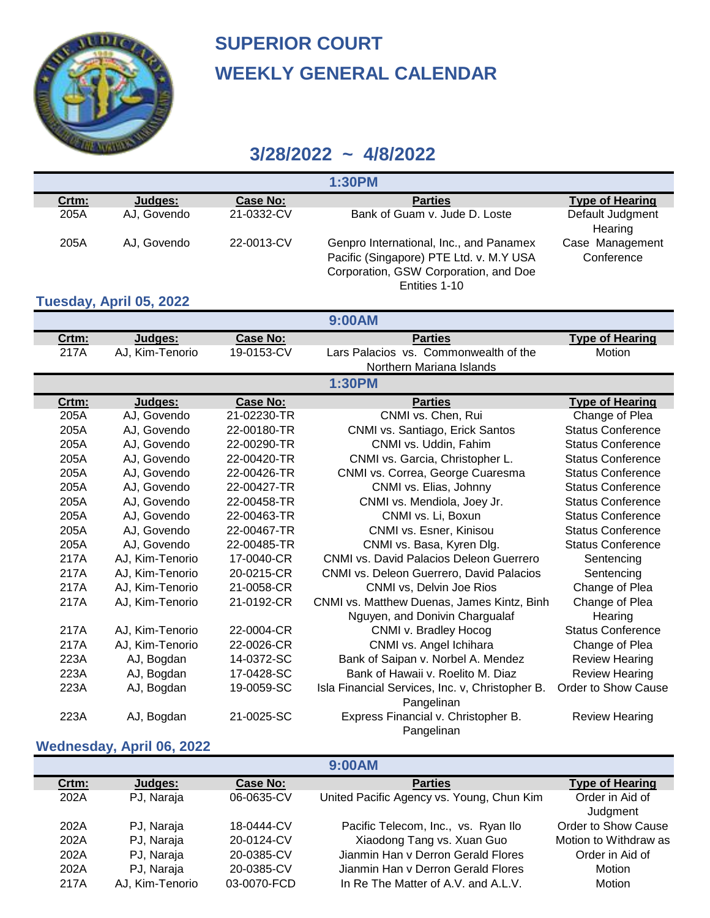

## **3/28/2022 ~ 4/8/2022**

| <b>1:30PM</b> |             |            |                                                                                                                                              |                               |  |
|---------------|-------------|------------|----------------------------------------------------------------------------------------------------------------------------------------------|-------------------------------|--|
| Crtm:         | Judges:     | Case No:   | <b>Parties</b>                                                                                                                               | <b>Type of Hearing</b>        |  |
| 205A          | AJ, Govendo | 21-0332-CV | Bank of Guam v. Jude D. Loste                                                                                                                | Default Judgment<br>Hearing   |  |
| 205A          | AJ. Govendo | 22-0013-CV | Genpro International, Inc., and Panamex<br>Pacific (Singapore) PTE Ltd. v. M.Y USA<br>Corporation, GSW Corporation, and Doe<br>Entities 1-10 | Case Management<br>Conference |  |

#### **Tuesday, April 05, 2022**

| 9:00AM |                 |                 |                                                               |                          |  |
|--------|-----------------|-----------------|---------------------------------------------------------------|--------------------------|--|
| Crtm:  | Judges:         | <b>Case No:</b> | <b>Parties</b>                                                | <b>Type of Hearing</b>   |  |
| 217A   | AJ, Kim-Tenorio | 19-0153-CV      | Lars Palacios vs. Commonwealth of the                         | Motion                   |  |
|        |                 |                 | Northern Mariana Islands                                      |                          |  |
|        |                 |                 | 1:30PM                                                        |                          |  |
| Crtm:  | Judges:         | <b>Case No:</b> | <b>Parties</b>                                                | <b>Type of Hearing</b>   |  |
| 205A   | AJ, Govendo     | 21-02230-TR     | CNMI vs. Chen, Rui                                            | Change of Plea           |  |
| 205A   | AJ, Govendo     | 22-00180-TR     | CNMI vs. Santiago, Erick Santos                               | <b>Status Conference</b> |  |
| 205A   | AJ, Govendo     | 22-00290-TR     | CNMI vs. Uddin, Fahim                                         | <b>Status Conference</b> |  |
| 205A   | AJ, Govendo     | 22-00420-TR     | CNMI vs. Garcia, Christopher L.                               | <b>Status Conference</b> |  |
| 205A   | AJ, Govendo     | 22-00426-TR     | CNMI vs. Correa, George Cuaresma                              | <b>Status Conference</b> |  |
| 205A   | AJ, Govendo     | 22-00427-TR     | CNMI vs. Elias, Johnny                                        | <b>Status Conference</b> |  |
| 205A   | AJ, Govendo     | 22-00458-TR     | CNMI vs. Mendiola, Joey Jr.                                   | <b>Status Conference</b> |  |
| 205A   | AJ, Govendo     | 22-00463-TR     | CNMI vs. Li, Boxun                                            | <b>Status Conference</b> |  |
| 205A   | AJ, Govendo     | 22-00467-TR     | CNMI vs. Esner, Kinisou                                       | <b>Status Conference</b> |  |
| 205A   | AJ, Govendo     | 22-00485-TR     | CNMI vs. Basa, Kyren Dlg.                                     | <b>Status Conference</b> |  |
| 217A   | AJ, Kim-Tenorio | 17-0040-CR      | CNMI vs. David Palacios Deleon Guerrero                       | Sentencing               |  |
| 217A   | AJ, Kim-Tenorio | 20-0215-CR      | CNMI vs. Deleon Guerrero, David Palacios                      | Sentencing               |  |
| 217A   | AJ, Kim-Tenorio | 21-0058-CR      | CNMI vs, Delvin Joe Rios                                      | Change of Plea           |  |
| 217A   | AJ, Kim-Tenorio | 21-0192-CR      | CNMI vs. Matthew Duenas, James Kintz, Binh                    | Change of Plea           |  |
|        |                 |                 | Nguyen, and Donivin Chargualaf                                | Hearing                  |  |
| 217A   | AJ, Kim-Tenorio | 22-0004-CR      | CNMI v. Bradley Hocog                                         | <b>Status Conference</b> |  |
| 217A   | AJ, Kim-Tenorio | 22-0026-CR      | CNMI vs. Angel Ichihara                                       | Change of Plea           |  |
| 223A   | AJ, Bogdan      | 14-0372-SC      | Bank of Saipan v. Norbel A. Mendez                            | <b>Review Hearing</b>    |  |
| 223A   | AJ, Bogdan      | 17-0428-SC      | Bank of Hawaii v. Roelito M. Diaz                             | <b>Review Hearing</b>    |  |
| 223A   | AJ, Bogdan      | 19-0059-SC      | Isla Financial Services, Inc. v, Christopher B.<br>Pangelinan | Order to Show Cause      |  |
| 223A   | AJ, Bogdan      | 21-0025-SC      | Express Financial v. Christopher B.<br>Pangelinan             | <b>Review Hearing</b>    |  |

#### **Wednesday, April 06, 2022**

#### **9:00AM**

| Crtm: | Judges:         | Case No:    | <b>Parties</b>                            | <b>Type of Hearing</b>     |
|-------|-----------------|-------------|-------------------------------------------|----------------------------|
| 202A  | PJ, Naraja      | 06-0635-CV  | United Pacific Agency vs. Young, Chun Kim | Order in Aid of            |
|       |                 |             |                                           | Judgment                   |
| 202A  | PJ, Naraja      | 18-0444-CV  | Pacific Telecom, Inc., vs. Ryan Ilo       | <b>Order to Show Cause</b> |
| 202A  | PJ, Naraja      | 20-0124-CV  | Xiaodong Tang vs. Xuan Guo                | Motion to Withdraw as      |
| 202A  | PJ, Naraja      | 20-0385-CV  | Jianmin Han v Derron Gerald Flores        | Order in Aid of            |
| 202A  | PJ, Naraja      | 20-0385-CV  | Jianmin Han y Derron Gerald Flores        | Motion                     |
| 217A  | AJ, Kim-Tenorio | 03-0070-FCD | In Re The Matter of A.V. and A.L.V.       | Motion                     |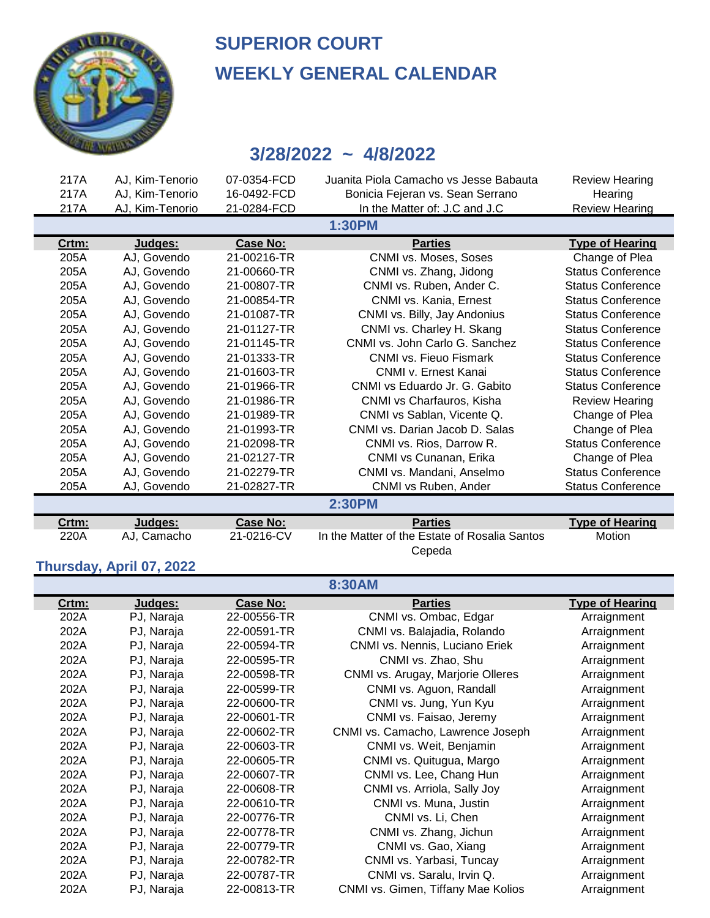

## **3/28/2022 ~ 4/8/2022**

| 217A          | AJ, Kim-Tenorio | 07-0354-FCD     | Juanita Piola Camacho vs Jesse Babauta        | <b>Review Hearing</b>    |  |  |
|---------------|-----------------|-----------------|-----------------------------------------------|--------------------------|--|--|
| 217A          | AJ, Kim-Tenorio | 16-0492-FCD     | Bonicia Fejeran vs. Sean Serrano              | Hearing                  |  |  |
| 217A          | AJ, Kim-Tenorio | 21-0284-FCD     | In the Matter of: J.C and J.C                 | <b>Review Hearing</b>    |  |  |
|               |                 |                 | 1:30PM                                        |                          |  |  |
| Crtm:         | Judges:         | <b>Case No:</b> | <b>Parties</b>                                | <b>Type of Hearing</b>   |  |  |
| 205A          | AJ, Govendo     | 21-00216-TR     | CNMI vs. Moses, Soses                         | Change of Plea           |  |  |
| 205A          | AJ, Govendo     | 21-00660-TR     | CNMI vs. Zhang, Jidong                        | <b>Status Conference</b> |  |  |
| 205A          | AJ, Govendo     | 21-00807-TR     | CNMI vs. Ruben, Ander C.                      | <b>Status Conference</b> |  |  |
| 205A          | AJ, Govendo     | 21-00854-TR     | CNMI vs. Kania, Ernest                        | <b>Status Conference</b> |  |  |
| 205A          | AJ, Govendo     | 21-01087-TR     | CNMI vs. Billy, Jay Andonius                  | <b>Status Conference</b> |  |  |
| 205A          | AJ, Govendo     | 21-01127-TR     | CNMI vs. Charley H. Skang                     | <b>Status Conference</b> |  |  |
| 205A          | AJ. Govendo     | 21-01145-TR     | CNMI vs. John Carlo G. Sanchez                | <b>Status Conference</b> |  |  |
| 205A          | AJ, Govendo     | 21-01333-TR     | CNMI vs. Fieuo Fismark                        | <b>Status Conference</b> |  |  |
| 205A          | AJ, Govendo     | 21-01603-TR     | CNMI v. Ernest Kanai                          | <b>Status Conference</b> |  |  |
| 205A          | AJ, Govendo     | 21-01966-TR     | CNMI vs Eduardo Jr. G. Gabito                 | <b>Status Conference</b> |  |  |
| 205A          | AJ, Govendo     | 21-01986-TR     | CNMI vs Charfauros, Kisha                     | <b>Review Hearing</b>    |  |  |
| 205A          | AJ. Govendo     | 21-01989-TR     | CNMI vs Sablan, Vicente Q.                    | Change of Plea           |  |  |
| 205A          | AJ, Govendo     | 21-01993-TR     | CNMI vs. Darian Jacob D. Salas                | Change of Plea           |  |  |
| 205A          | AJ, Govendo     | 21-02098-TR     | CNMI vs. Rios, Darrow R.                      | <b>Status Conference</b> |  |  |
| 205A          | AJ, Govendo     | 21-02127-TR     | CNMI vs Cunanan, Erika                        | Change of Plea           |  |  |
| 205A          | AJ, Govendo     | 21-02279-TR     | CNMI vs. Mandani, Anselmo                     | <b>Status Conference</b> |  |  |
| 205A          | AJ, Govendo     | 21-02827-TR     | CNMI vs Ruben, Ander                          | <b>Status Conference</b> |  |  |
| <b>2:30PM</b> |                 |                 |                                               |                          |  |  |
| Crtm:         | Judges:         | <b>Case No:</b> | <b>Parties</b>                                | <b>Type of Hearing</b>   |  |  |
| 220A          | AJ, Camacho     | 21-0216-CV      | In the Matter of the Estate of Rosalia Santos | Motion                   |  |  |
|               |                 |                 | Cepeda                                        |                          |  |  |

#### **Thursday, April 07, 2022**

| <b>8:30AM</b> |            |                 |                                    |                        |  |
|---------------|------------|-----------------|------------------------------------|------------------------|--|
| Crtm:         | Judges:    | <b>Case No:</b> | <b>Parties</b>                     | <b>Type of Hearing</b> |  |
| 202A          | PJ, Naraja | 22-00556-TR     | CNMI vs. Ombac, Edgar              | Arraignment            |  |
| 202A          | PJ, Naraja | 22-00591-TR     | CNMI vs. Balajadia, Rolando        | Arraignment            |  |
| 202A          | PJ, Naraja | 22-00594-TR     | CNMI vs. Nennis, Luciano Eriek     | Arraignment            |  |
| 202A          | PJ, Naraja | 22-00595-TR     | CNMI vs. Zhao, Shu                 | Arraignment            |  |
| 202A          | PJ, Naraja | 22-00598-TR     | CNMI vs. Arugay, Marjorie Olleres  | Arraignment            |  |
| 202A          | PJ, Naraja | 22-00599-TR     | CNMI vs. Aguon, Randall            | Arraignment            |  |
| 202A          | PJ, Naraja | 22-00600-TR     | CNMI vs. Jung, Yun Kyu             | Arraignment            |  |
| 202A          | PJ, Naraja | 22-00601-TR     | CNMI vs. Faisao, Jeremy            | Arraignment            |  |
| 202A          | PJ, Naraja | 22-00602-TR     | CNMI vs. Camacho, Lawrence Joseph  | Arraignment            |  |
| 202A          | PJ, Naraja | 22-00603-TR     | CNMI vs. Weit, Benjamin            | Arraignment            |  |
| 202A          | PJ, Naraja | 22-00605-TR     | CNMI vs. Quitugua, Margo           | Arraignment            |  |
| 202A          | PJ, Naraja | 22-00607-TR     | CNMI vs. Lee, Chang Hun            | Arraignment            |  |
| 202A          | PJ, Naraja | 22-00608-TR     | CNMI vs. Arriola, Sally Joy        | Arraignment            |  |
| 202A          | PJ, Naraja | 22-00610-TR     | CNMI vs. Muna, Justin              | Arraignment            |  |
| 202A          | PJ, Naraja | 22-00776-TR     | CNMI vs. Li, Chen                  | Arraignment            |  |
| 202A          | PJ, Naraja | 22-00778-TR     | CNMI vs. Zhang, Jichun             | Arraignment            |  |
| 202A          | PJ, Naraja | 22-00779-TR     | CNMI vs. Gao, Xiang                | Arraignment            |  |
| 202A          | PJ, Naraja | 22-00782-TR     | CNMI vs. Yarbasi, Tuncay           | Arraignment            |  |
| 202A          | PJ, Naraja | 22-00787-TR     | CNMI vs. Saralu, Irvin Q.          | Arraignment            |  |
| 202A          | PJ, Naraja | 22-00813-TR     | CNMI vs. Gimen, Tiffany Mae Kolios | Arraignment            |  |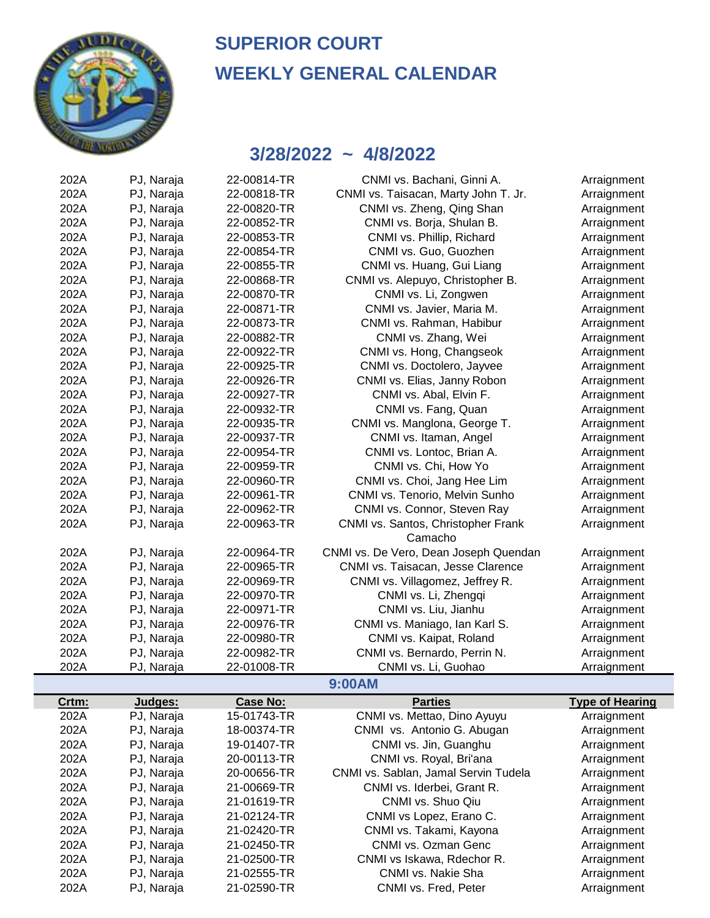

| 202A  | PJ, Naraja | 22-00814-TR     | CNMI vs. Bachani, Ginni A.            | Arraignment                |
|-------|------------|-----------------|---------------------------------------|----------------------------|
| 202A  | PJ, Naraja | 22-00818-TR     | CNMI vs. Taisacan, Marty John T. Jr.  | Arraignment                |
| 202A  | PJ, Naraja | 22-00820-TR     | CNMI vs. Zheng, Qing Shan             | Arraignment                |
| 202A  | PJ, Naraja | 22-00852-TR     | CNMI vs. Borja, Shulan B.             | Arraignment                |
| 202A  | PJ, Naraja | 22-00853-TR     | CNMI vs. Phillip, Richard             | Arraignment                |
| 202A  | PJ, Naraja | 22-00854-TR     | CNMI vs. Guo, Guozhen                 | Arraignment                |
| 202A  | PJ, Naraja | 22-00855-TR     | CNMI vs. Huang, Gui Liang             | Arraignment                |
| 202A  | PJ, Naraja | 22-00868-TR     | CNMI vs. Alepuyo, Christopher B.      | Arraignment                |
| 202A  | PJ, Naraja | 22-00870-TR     | CNMI vs. Li, Zongwen                  | Arraignment                |
| 202A  | PJ, Naraja | 22-00871-TR     | CNMI vs. Javier, Maria M.             | Arraignment                |
| 202A  | PJ, Naraja | 22-00873-TR     | CNMI vs. Rahman, Habibur              | Arraignment                |
| 202A  | PJ, Naraja | 22-00882-TR     | CNMI vs. Zhang, Wei                   | Arraignment                |
| 202A  | PJ, Naraja | 22-00922-TR     | CNMI vs. Hong, Changseok              | Arraignment                |
| 202A  | PJ, Naraja | 22-00925-TR     | CNMI vs. Doctolero, Jayvee            | Arraignment                |
| 202A  | PJ, Naraja | 22-00926-TR     | CNMI vs. Elias, Janny Robon           | Arraignment                |
| 202A  | PJ, Naraja | 22-00927-TR     | CNMI vs. Abal, Elvin F.               | Arraignment                |
| 202A  | PJ, Naraja | 22-00932-TR     | CNMI vs. Fang, Quan                   | Arraignment                |
| 202A  | PJ, Naraja | 22-00935-TR     | CNMI vs. Manglona, George T.          | Arraignment                |
| 202A  | PJ, Naraja | 22-00937-TR     | CNMI vs. Itaman, Angel                | Arraignment                |
| 202A  | PJ, Naraja | 22-00954-TR     | CNMI vs. Lontoc, Brian A.             | Arraignment                |
| 202A  | PJ, Naraja | 22-00959-TR     | CNMI vs. Chi, How Yo                  | Arraignment                |
| 202A  | PJ, Naraja | 22-00960-TR     | CNMI vs. Choi, Jang Hee Lim           | Arraignment                |
| 202A  | PJ, Naraja | 22-00961-TR     | CNMI vs. Tenorio, Melvin Sunho        | Arraignment                |
| 202A  | PJ, Naraja | 22-00962-TR     | CNMI vs. Connor, Steven Ray           | Arraignment                |
| 202A  | PJ, Naraja | 22-00963-TR     | CNMI vs. Santos, Christopher Frank    | Arraignment                |
|       |            |                 | Camacho                               |                            |
| 202A  | PJ, Naraja | 22-00964-TR     | CNMI vs. De Vero, Dean Joseph Quendan | Arraignment                |
| 202A  | PJ, Naraja | 22-00965-TR     | CNMI vs. Taisacan, Jesse Clarence     | Arraignment                |
| 202A  | PJ, Naraja | 22-00969-TR     | CNMI vs. Villagomez, Jeffrey R.       | Arraignment                |
| 202A  | PJ, Naraja | 22-00970-TR     | CNMI vs. Li, Zhengqi                  | Arraignment                |
| 202A  | PJ, Naraja | 22-00971-TR     | CNMI vs. Liu, Jianhu                  | Arraignment                |
| 202A  | PJ, Naraja | 22-00976-TR     | CNMI vs. Maniago, Ian Karl S.         | Arraignment                |
| 202A  | PJ, Naraja | 22-00980-TR     | CNMI vs. Kaipat, Roland               | Arraignment                |
| 202A  | PJ, Naraja | 22-00982-TR     | CNMI vs. Bernardo, Perrin N.          | Arraignment                |
| 202A  | PJ, Naraja | 22-01008-TR     | CNMI vs. Li, Guohao                   | Arraignment                |
|       |            |                 | 9:00AM                                |                            |
| Crtm: | Judges:    | <b>Case No:</b> | <b>Parties</b>                        | <b>Type of Hearing</b>     |
| 202A  | PJ, Naraja | 15-01743-TR     | CNMI vs. Mettao, Dino Ayuyu           | Arraignment                |
| 202A  | PJ, Naraja | 18-00374-TR     | CNMI vs. Antonio G. Abugan            | Arraignment                |
| 202A  | PJ, Naraja | 19-01407-TR     | CNMI vs. Jin, Guanghu                 | Arraignment                |
| 202A  | PJ, Naraja | 20-00113-TR     | CNMI vs. Royal, Bri'ana               | Arraignment                |
| 202A  | PJ, Naraja | 20-00656-TR     | CNMI vs. Sablan, Jamal Servin Tudela  | Arraignment                |
| 202A  | PJ, Naraja | 21-00669-TR     | CNMI vs. Iderbei, Grant R.            | Arraignment                |
| 202A  |            | 21-01619-TR     | CNMI vs. Shuo Qiu                     |                            |
| 202A  | PJ, Naraja | 21-02124-TR     | CNMI vs Lopez, Erano C.               | Arraignment<br>Arraignment |
|       | PJ, Naraja |                 |                                       |                            |
| 202A  | PJ, Naraja | 21-02420-TR     | CNMI vs. Takami, Kayona               | Arraignment                |
| 202A  | PJ, Naraja | 21-02450-TR     | CNMI vs. Ozman Genc                   | Arraignment                |
| 202A  | PJ, Naraja | 21-02500-TR     | CNMI vs Iskawa, Rdechor R.            | Arraignment                |
| 202A  | PJ, Naraja | 21-02555-TR     | CNMI vs. Nakie Sha                    | Arraignment                |
| 202A  | PJ, Naraja | 21-02590-TR     | CNMI vs. Fred, Peter                  | Arraignment                |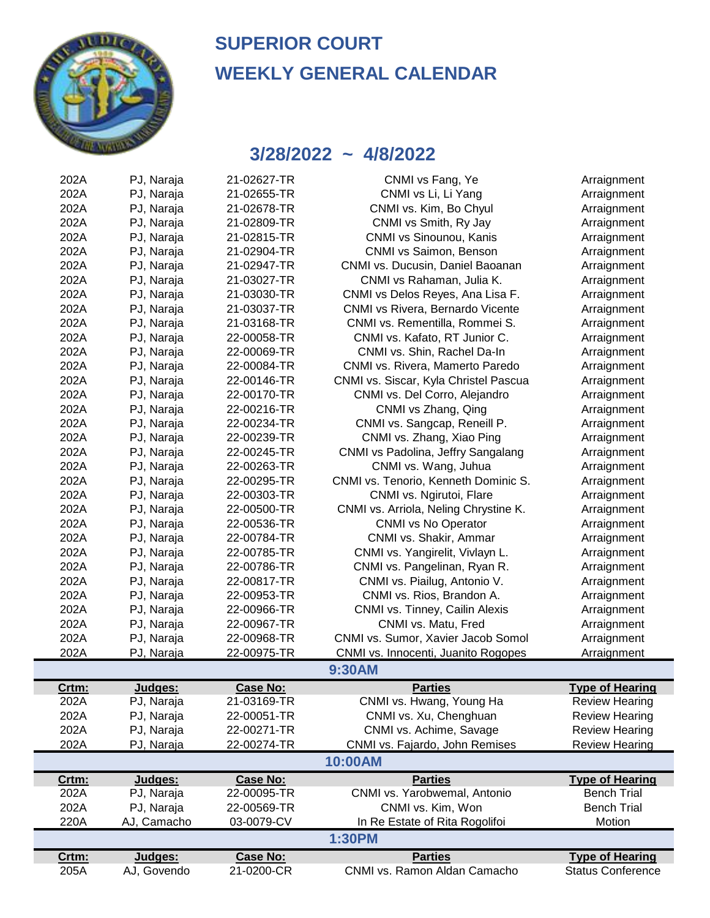

| 202A         | PJ, Naraja  | 21-02627-TR     | CNMI vs Fang, Ye                      | Arraignment              |
|--------------|-------------|-----------------|---------------------------------------|--------------------------|
| 202A         | PJ, Naraja  | 21-02655-TR     | CNMI vs Li, Li Yang                   | Arraignment              |
| 202A         | PJ, Naraja  | 21-02678-TR     | CNMI vs. Kim, Bo Chyul                | Arraignment              |
| 202A         | PJ, Naraja  | 21-02809-TR     | CNMI vs Smith, Ry Jay                 | Arraignment              |
| 202A         | PJ, Naraja  | 21-02815-TR     | CNMI vs Sinounou, Kanis               | Arraignment              |
| 202A         | PJ, Naraja  | 21-02904-TR     | CNMI vs Saimon, Benson                | Arraignment              |
| 202A         | PJ, Naraja  | 21-02947-TR     | CNMI vs. Ducusin, Daniel Baoanan      | Arraignment              |
| 202A         | PJ, Naraja  | 21-03027-TR     | CNMI vs Rahaman, Julia K.             | Arraignment              |
| 202A         | PJ, Naraja  | 21-03030-TR     | CNMI vs Delos Reyes, Ana Lisa F.      | Arraignment              |
| 202A         | PJ, Naraja  | 21-03037-TR     | CNMI vs Rivera, Bernardo Vicente      | Arraignment              |
| 202A         | PJ, Naraja  | 21-03168-TR     | CNMI vs. Rementilla, Rommei S.        | Arraignment              |
| 202A         | PJ, Naraja  | 22-00058-TR     | CNMI vs. Kafato, RT Junior C.         | Arraignment              |
| 202A         | PJ, Naraja  | 22-00069-TR     | CNMI vs. Shin, Rachel Da-In           | Arraignment              |
| 202A         | PJ, Naraja  | 22-00084-TR     | CNMI vs. Rivera, Mamerto Paredo       | Arraignment              |
| 202A         | PJ, Naraja  | 22-00146-TR     | CNMI vs. Siscar, Kyla Christel Pascua | Arraignment              |
| 202A         | PJ, Naraja  | 22-00170-TR     | CNMI vs. Del Corro, Alejandro         | Arraignment              |
| 202A         | PJ, Naraja  | 22-00216-TR     | CNMI vs Zhang, Qing                   | Arraignment              |
| 202A         | PJ, Naraja  | 22-00234-TR     | CNMI vs. Sangcap, Reneill P.          | Arraignment              |
| 202A         | PJ, Naraja  | 22-00239-TR     | CNMI vs. Zhang, Xiao Ping             | Arraignment              |
| 202A         | PJ, Naraja  | 22-00245-TR     | CNMI vs Padolina, Jeffry Sangalang    | Arraignment              |
| 202A         | PJ, Naraja  | 22-00263-TR     | CNMI vs. Wang, Juhua                  | Arraignment              |
| 202A         | PJ, Naraja  | 22-00295-TR     | CNMI vs. Tenorio, Kenneth Dominic S.  | Arraignment              |
| 202A         | PJ, Naraja  | 22-00303-TR     | CNMI vs. Ngirutoi, Flare              | Arraignment              |
| 202A         | PJ, Naraja  | 22-00500-TR     | CNMI vs. Arriola, Neling Chrystine K. | Arraignment              |
| 202A         | PJ, Naraja  | 22-00536-TR     | <b>CNMI vs No Operator</b>            | Arraignment              |
| 202A         | PJ, Naraja  | 22-00784-TR     | CNMI vs. Shakir, Ammar                | Arraignment              |
| 202A         | PJ, Naraja  | 22-00785-TR     | CNMI vs. Yangirelit, Vivlayn L.       | Arraignment              |
| 202A         | PJ, Naraja  | 22-00786-TR     | CNMI vs. Pangelinan, Ryan R.          | Arraignment              |
| 202A         | PJ, Naraja  | 22-00817-TR     | CNMI vs. Piailug, Antonio V.          | Arraignment              |
| 202A         | PJ, Naraja  | 22-00953-TR     | CNMI vs. Rios, Brandon A.             | Arraignment              |
| 202A         | PJ, Naraja  | 22-00966-TR     | CNMI vs. Tinney, Cailin Alexis        | Arraignment              |
| 202A         | PJ, Naraja  | 22-00967-TR     | CNMI vs. Matu, Fred                   | Arraignment              |
| 202A         | PJ, Naraja  | 22-00968-TR     | CNMI vs. Sumor, Xavier Jacob Somol    | Arraignment              |
| 202A         | PJ, Naraja  | 22-00975-TR     | CNMI vs. Innocenti, Juanito Rogopes   | Arraignment              |
|              |             |                 | 9:30AM                                |                          |
| Crtm:        | Judges:     | <b>Case No:</b> | <b>Parties</b>                        | <b>Type of Hearing</b>   |
| 202A         | PJ, Naraja  | 21-03169-TR     | CNMI vs. Hwang, Young Ha              | <b>Review Hearing</b>    |
| 202A         | PJ, Naraja  | 22-00051-TR     | CNMI vs. Xu, Chenghuan                | <b>Review Hearing</b>    |
| 202A         | PJ, Naraja  | 22-00271-TR     | CNMI vs. Achime, Savage               | <b>Review Hearing</b>    |
| 202A         | PJ, Naraja  | 22-00274-TR     | CNMI vs. Fajardo, John Remises        | <b>Review Hearing</b>    |
|              |             |                 | 10:00AM                               |                          |
| Crtm:        | Judges:     | Case No:        | <b>Parties</b>                        | <b>Type of Hearing</b>   |
| 202A         | PJ, Naraja  | 22-00095-TR     | CNMI vs. Yarobwemal, Antonio          | <b>Bench Trial</b>       |
| 202A         | PJ, Naraja  | 22-00569-TR     | CNMI vs. Kim, Won                     | <b>Bench Trial</b>       |
| 220A         | AJ, Camacho | 03-0079-CV      | In Re Estate of Rita Rogolifoi        | Motion                   |
|              |             |                 | 1:30PM                                |                          |
| <u>Crtm:</u> | Judges:     | Case No:        | <b>Parties</b>                        | <b>Type of Hearing</b>   |
| 205A         | AJ, Govendo | 21-0200-CR      | CNMI vs. Ramon Aldan Camacho          | <b>Status Conference</b> |
|              |             |                 |                                       |                          |